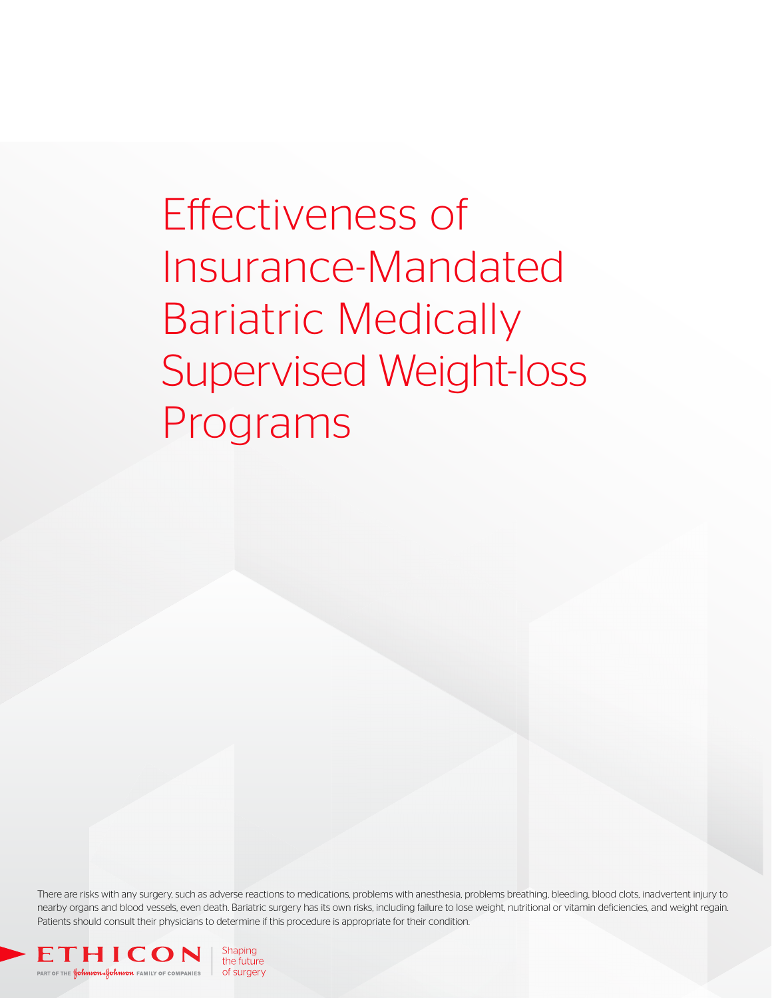Effectiveness of Insurance-Mandated Bariatric Medically Supervised Weight-loss Programs

There are risks with any surgery, such as adverse reactions to medications, problems with anesthesia, problems breathing, bleeding, blood clots, inadvertent injury to nearby organs and blood vessels, even death. Bariatric surgery has its own risks, including failure to lose weight, nutritional or vitamin deficiencies, and weight regain. Patients should consult their physicians to determine if this procedure is appropriate for their condition.

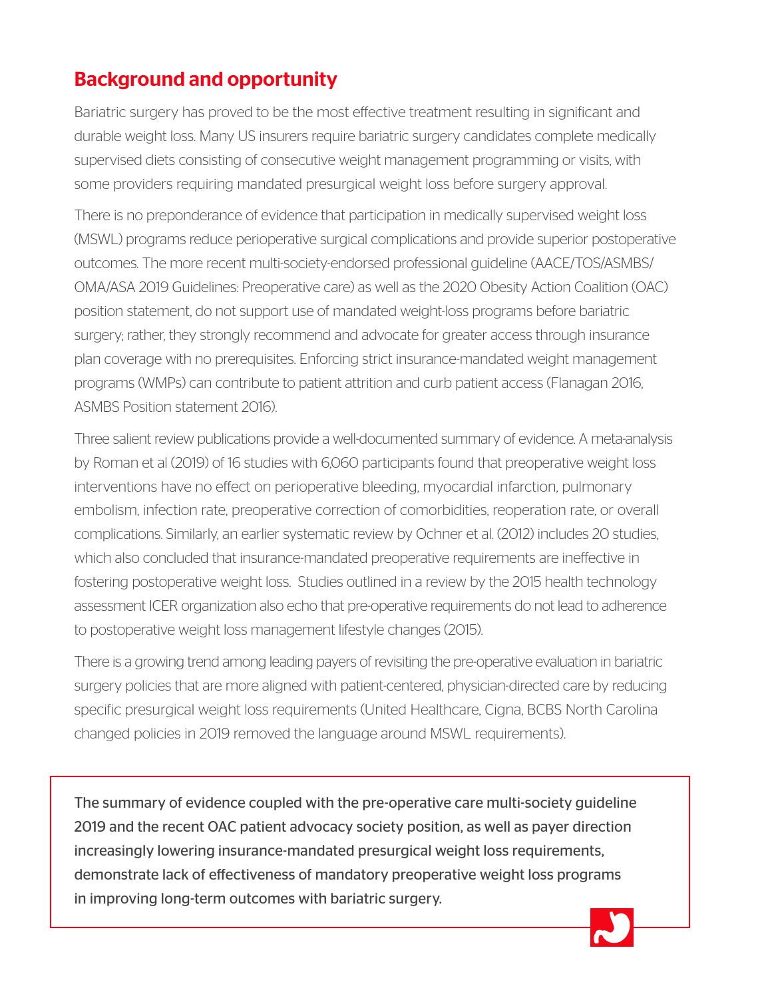# Background and opportunity

Bariatric surgery has proved to be the most effective treatment resulting in significant and durable weight loss. Many US insurers require bariatric surgery candidates complete medically supervised diets consisting of consecutive weight management programming or visits, with some providers requiring mandated presurgical weight loss before surgery approval.

There is no preponderance of evidence that participation in medically supervised weight loss (MSWL) programs reduce perioperative surgical complications and provide superior postoperative outcomes. The more recent multi-society-endorsed professional guideline (AACE/TOS/ASMBS/ OMA/ASA 2019 Guidelines: Preoperative care) as well as the 2020 Obesity Action Coalition (OAC) position statement, do not support use of mandated weight-loss programs before bariatric surgery; rather, they strongly recommend and advocate for greater access through insurance plan coverage with no prerequisites. Enforcing strict insurance-mandated weight management programs (WMPs) can contribute to patient attrition and curb patient access (Flanagan 2016, ASMBS Position statement 2016).

Three salient review publications provide a well-documented summary of evidence. A meta-analysis by Roman et al (2019) of 16 studies with 6,060 participants found that preoperative weight loss interventions have no effect on perioperative bleeding, myocardial infarction, pulmonary embolism, infection rate, preoperative correction of comorbidities, reoperation rate, or overall complications. Similarly, an earlier systematic review by Ochner et al. (2012) includes 20 studies, which also concluded that insurance-mandated preoperative requirements are ineffective in fostering postoperative weight loss. Studies outlined in a review by the 2015 health technology assessment ICER organization also echo that pre-operative requirements do not lead to adherence to postoperative weight loss management lifestyle changes (2015).

There is a growing trend among leading payers of revisiting the pre-operative evaluation in bariatric surgery policies that are more aligned with patient-centered, physician-directed care by reducing specific presurgical weight loss requirements (United Healthcare, Cigna, BCBS North Carolina changed policies in 2019 removed the language around MSWL requirements).

The summary of evidence coupled with the pre-operative care multi-society guideline 2019 and the recent OAC patient advocacy society position, as well as payer direction increasingly lowering insurance-mandated presurgical weight loss requirements, demonstrate lack of effectiveness of mandatory preoperative weight loss programs in improving long-term outcomes with bariatric surgery.

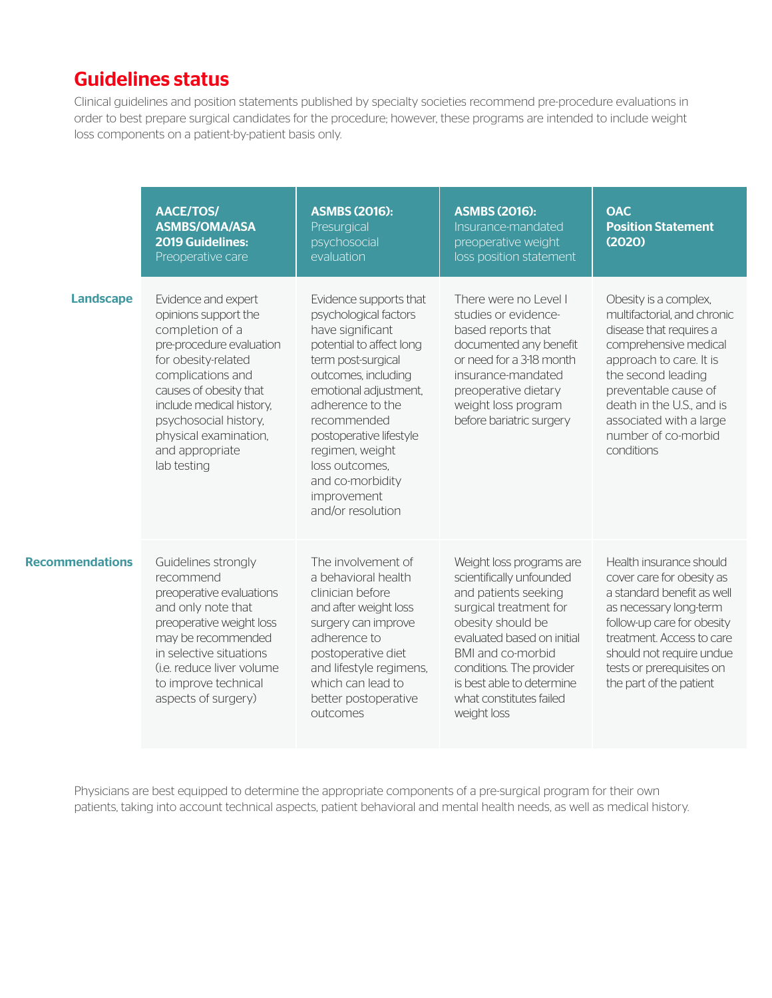### Guidelines status

Clinical guidelines and position statements published by specialty societies recommend pre-procedure evaluations in order to best prepare surgical candidates for the procedure; however, these programs are intended to include weight loss components on a patient-by-patient basis only.

|                        | <b>AACE/TOS/</b><br><b>ASMBS/OMA/ASA</b><br><b>2019 Guidelines:</b><br>Preoperative care                                                                                                                                                                                         | <b>ASMBS (2016):</b><br>Presurgical<br>psychosocial<br>evaluation                                                                                                                                                                                                                                                                | <b>ASMBS (2016):</b><br>Insurance-mandated<br>preoperative weight<br>loss position statement                                                                                                                                                                                      | <b>OAC</b><br><b>Position Statement</b><br>(2020)                                                                                                                                                                                                                              |
|------------------------|----------------------------------------------------------------------------------------------------------------------------------------------------------------------------------------------------------------------------------------------------------------------------------|----------------------------------------------------------------------------------------------------------------------------------------------------------------------------------------------------------------------------------------------------------------------------------------------------------------------------------|-----------------------------------------------------------------------------------------------------------------------------------------------------------------------------------------------------------------------------------------------------------------------------------|--------------------------------------------------------------------------------------------------------------------------------------------------------------------------------------------------------------------------------------------------------------------------------|
| <b>Landscape</b>       | Evidence and expert<br>opinions support the<br>completion of a<br>pre-procedure evaluation<br>for obesity-related<br>complications and<br>causes of obesity that<br>include medical history,<br>psychosocial history,<br>physical examination,<br>and appropriate<br>lab testing | Evidence supports that<br>psychological factors<br>have significant<br>potential to affect long<br>term post-surgical<br>outcomes, including<br>emotional adjustment,<br>adherence to the<br>recommended<br>postoperative lifestyle<br>regimen, weight<br>loss outcomes.<br>and co-morbidity<br>improvement<br>and/or resolution | There were no Level I<br>studies or evidence-<br>based reports that<br>documented any benefit<br>or need for a 3-18 month<br>insurance-mandated<br>preoperative dietary<br>weight loss program<br>before bariatric surgery                                                        | Obesity is a complex,<br>multifactorial, and chronic<br>disease that requires a<br>comprehensive medical<br>approach to care. It is<br>the second leading<br>preventable cause of<br>death in the U.S., and is<br>associated with a large<br>number of co-morbid<br>conditions |
| <b>Recommendations</b> | Guidelines strongly<br>recommend<br>preoperative evaluations<br>and only note that<br>preoperative weight loss<br>may be recommended<br>in selective situations<br>(i.e. reduce liver volume)<br>to improve technical<br>aspects of surgery)                                     | The involvement of<br>a behavioral health<br>clinician before<br>and after weight loss<br>surgery can improve<br>adherence to<br>postoperative diet<br>and lifestyle regimens,<br>which can lead to<br>better postoperative<br>outcomes                                                                                          | Weight loss programs are<br>scientifically unfounded<br>and patients seeking<br>surgical treatment for<br>obesity should be<br>evaluated based on initial<br>BMI and co-morbid<br>conditions. The provider<br>is best able to determine<br>what constitutes failed<br>weight loss | Health insurance should<br>cover care for obesity as<br>a standard benefit as well<br>as necessary long-term<br>follow-up care for obesity<br>treatment. Access to care<br>should not require undue<br>tests or prerequisites on<br>the part of the patient                    |

Physicians are best equipped to determine the appropriate components of a pre-surgical program for their own patients, taking into account technical aspects, patient behavioral and mental health needs, as well as medical history.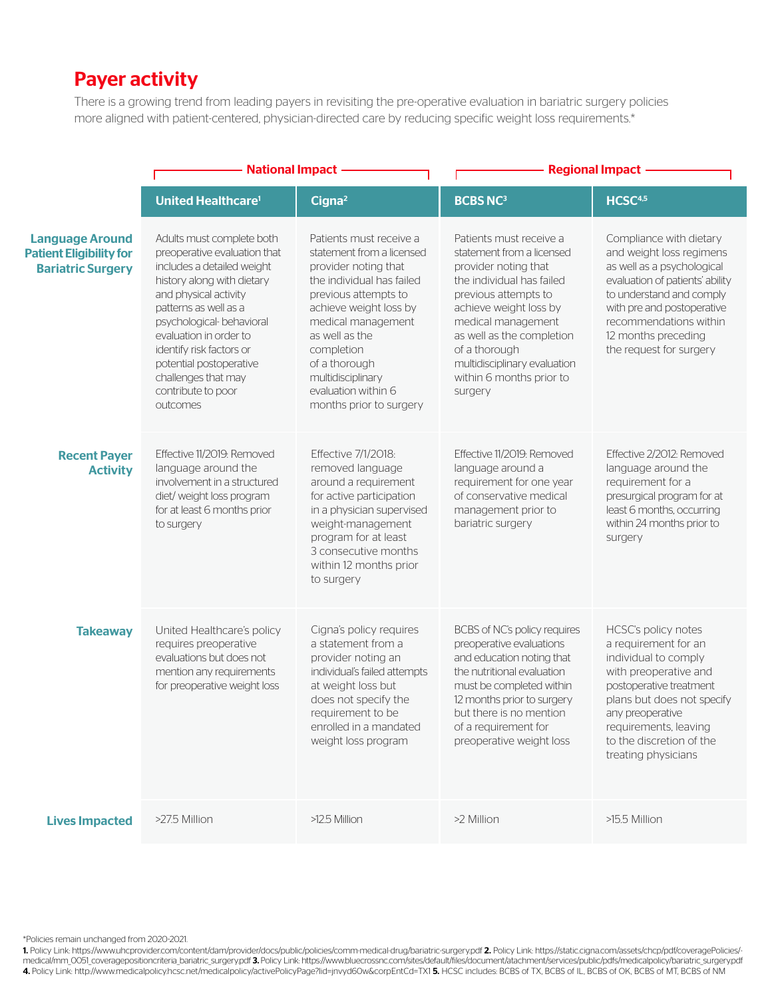## Payer activity

There is a growing trend from leading payers in revisiting the pre-operative evaluation in bariatric surgery policies more aligned with patient-centered, physician-directed care by reducing specific weight loss requirements.\*

|                                                                                      | <b>National Impact</b>                                                                                                                                                                                                                                                                                                                         |                                                                                                                                                                                                                                                                                                           |                                                                                                                                                                                                                                                                                                        | <b>Regional Impact</b>                                                                                                                                                                                                                                       |
|--------------------------------------------------------------------------------------|------------------------------------------------------------------------------------------------------------------------------------------------------------------------------------------------------------------------------------------------------------------------------------------------------------------------------------------------|-----------------------------------------------------------------------------------------------------------------------------------------------------------------------------------------------------------------------------------------------------------------------------------------------------------|--------------------------------------------------------------------------------------------------------------------------------------------------------------------------------------------------------------------------------------------------------------------------------------------------------|--------------------------------------------------------------------------------------------------------------------------------------------------------------------------------------------------------------------------------------------------------------|
|                                                                                      | <b>United Healthcare<sup>1</sup></b>                                                                                                                                                                                                                                                                                                           | Cigna <sup>2</sup>                                                                                                                                                                                                                                                                                        | <b>BCBS NC3</b>                                                                                                                                                                                                                                                                                        | HCSC <sup>4,5</sup>                                                                                                                                                                                                                                          |
| <b>Language Around</b><br><b>Patient Eligibility for</b><br><b>Bariatric Surgery</b> | Adults must complete both<br>preoperative evaluation that<br>includes a detailed weight<br>history along with dietary<br>and physical activity<br>patterns as well as a<br>psychological- behavioral<br>evaluation in order to<br>identify risk factors or<br>potential postoperative<br>challenges that may<br>contribute to poor<br>outcomes | Patients must receive a<br>statement from a licensed<br>provider noting that<br>the individual has failed<br>previous attempts to<br>achieve weight loss by<br>medical management<br>as well as the<br>completion<br>of a thorough<br>multidisciplinary<br>evaluation within 6<br>months prior to surgery | Patients must receive a<br>statement from a licensed<br>provider noting that<br>the individual has failed<br>previous attempts to<br>achieve weight loss by<br>medical management<br>as well as the completion<br>of a thorough<br>multidisciplinary evaluation<br>within 6 months prior to<br>surgery | Compliance with dietary<br>and weight loss regimens<br>as well as a psychological<br>evaluation of patients' ability<br>to understand and comply<br>with pre and postoperative<br>recommendations within<br>12 months preceding<br>the request for surgery   |
| <b>Recent Payer</b><br><b>Activity</b>                                               | Effective 11/2019: Removed<br>language around the<br>involvement in a structured<br>diet/ weight loss program<br>for at least 6 months prior<br>to surgery                                                                                                                                                                                     | Effective 7/1/2018:<br>removed language<br>around a requirement<br>for active participation<br>in a physician supervised<br>weight-management<br>program for at least<br>3 consecutive months<br>within 12 months prior<br>to surgery                                                                     | Effective 11/2019: Removed<br>language around a<br>requirement for one year<br>of conservative medical<br>management prior to<br>bariatric surgery                                                                                                                                                     | Effective 2/2012: Removed<br>language around the<br>requirement for a<br>presurgical program for at<br>least 6 months, occurring<br>within 24 months prior to<br>surgery                                                                                     |
| <b>Takeaway</b>                                                                      | United Healthcare's policy<br>requires preoperative<br>evaluations but does not<br>mention any requirements<br>for preoperative weight loss                                                                                                                                                                                                    | Cigna's policy requires<br>a statement from a<br>provider noting an<br>individual's failed attempts<br>at weight loss but<br>does not specify the<br>requirement to be<br>enrolled in a mandated<br>weight loss program                                                                                   | BCBS of NC's policy requires<br>preoperative evaluations<br>and education noting that<br>the nutritional evaluation<br>must be completed within<br>12 months prior to surgery<br>but there is no mention<br>of a requirement for<br>preoperative weight loss                                           | <b>HCSC's policy notes</b><br>a requirement for an<br>individual to comply<br>with preoperative and<br>postoperative treatment<br>plans but does not specify<br>any preoperative<br>requirements, leaving<br>to the discretion of the<br>treating physicians |
| <b>Lives Impacted</b>                                                                | >27.5 Million                                                                                                                                                                                                                                                                                                                                  | >12.5 Million                                                                                                                                                                                                                                                                                             | >2 Million                                                                                                                                                                                                                                                                                             | >15.5 Million                                                                                                                                                                                                                                                |

\*Policies remain unchanged from 2020-2021.

1. Policy Link: https://www.uhcprovider.com/content/dam/provider/docs/public/policies/comm-medical-drug/bariatric-surgery.pdf 2. Policy Link: https://static.cigna.com/assets/chcp/pdf/coveragePolicies/ medical/mm\_0051\_coveragepositioncriteria\_bariatric\_surgery.pdf 3. Policy Link: https://www.bluecrossnc.com/sites/default/files/document/atachment/services/public/pdfs/medicalpolicy/bariatric\_surgery.pdf 4. Policy Link: http://www.medicalpolicy.hcsc.net/medicalpolicy/activePolicyPage?lid=jnvyd60w&corpEntCd=TX1 5. HCSC includes: BCBS of TX, BCBS of IL, BCBS of OK, BCBS of MT, BCBS of MT, BCBS of MT, BCBS of MT, BCBS of MT,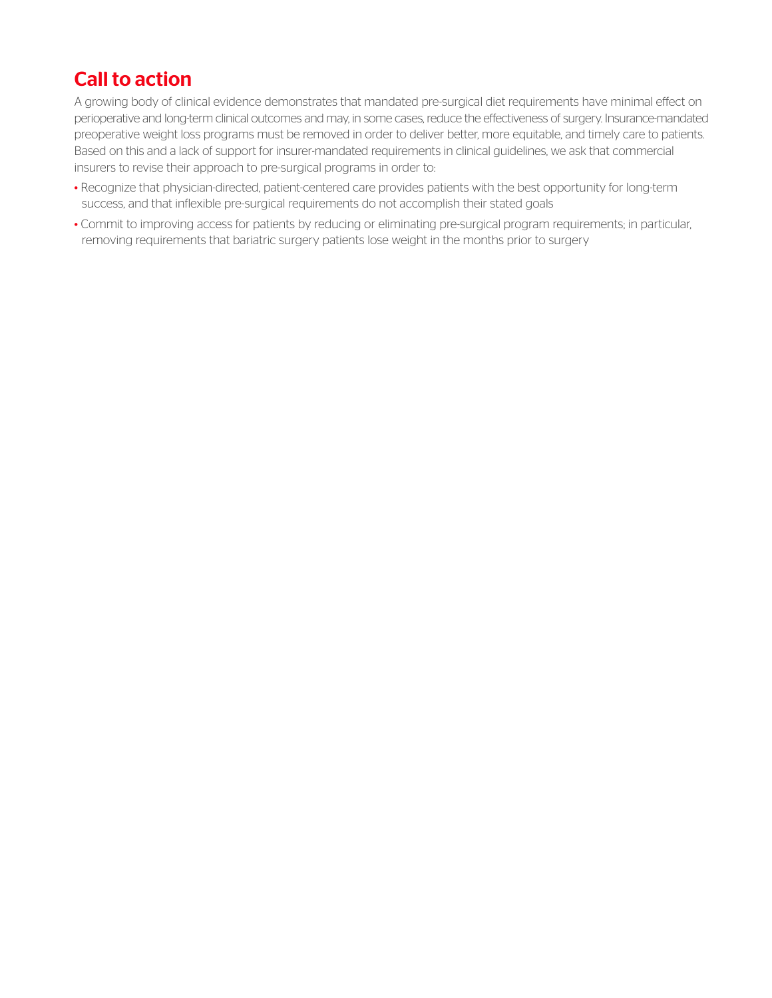## Call to action

A growing body of clinical evidence demonstrates that mandated pre-surgical diet requirements have minimal effect on perioperative and long-term clinical outcomes and may, in some cases, reduce the effectiveness of surgery. Insurance-mandated preoperative weight loss programs must be removed in order to deliver better, more equitable, and timely care to patients. Based on this and a lack of support for insurer-mandated requirements in clinical guidelines, we ask that commercial insurers to revise their approach to pre-surgical programs in order to:

- Recognize that physician-directed, patient-centered care provides patients with the best opportunity for long-term success, and that inflexible pre-surgical requirements do not accomplish their stated goals
- •Commit to improving access for patients by reducing or eliminating pre-surgical program requirements; in particular, removing requirements that bariatric surgery patients lose weight in the months prior to surgery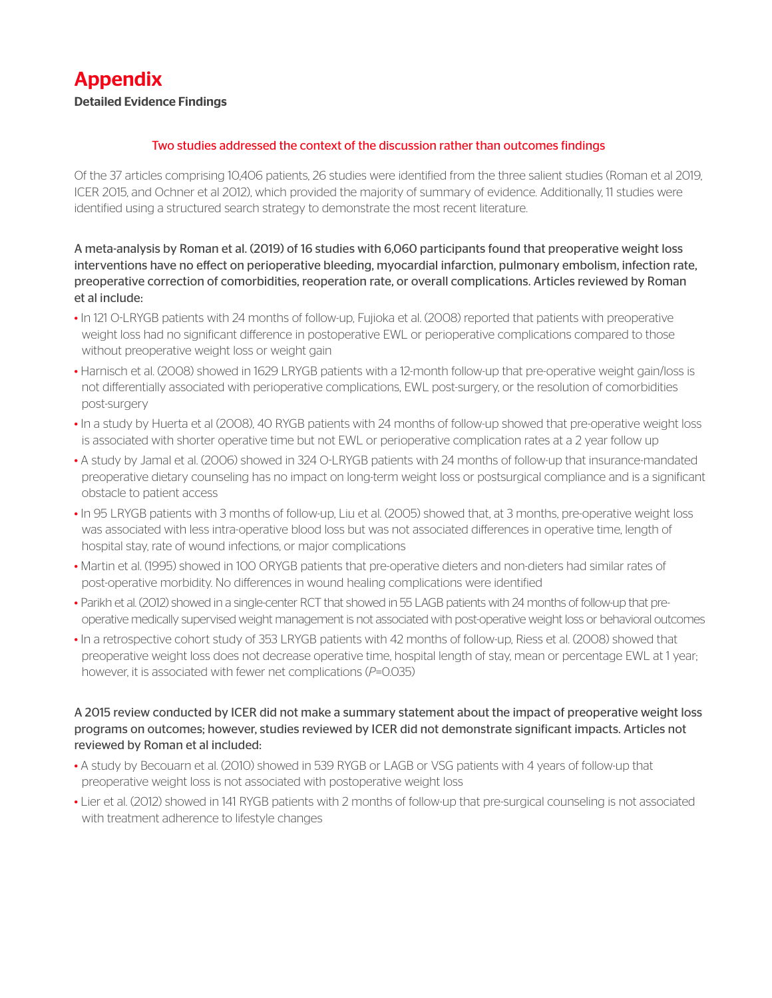## Appendix

#### Detailed Evidence Findings

#### Two studies addressed the context of the discussion rather than outcomes findings

Of the 37 articles comprising 10,406 patients, 26 studies were identified from the three salient studies (Roman et al 2019, ICER 2015, and Ochner et al 2012), which provided the majority of summary of evidence. Additionally, 11 studies were identified using a structured search strategy to demonstrate the most recent literature.

A meta-analysis by Roman et al. (2019) of 16 studies with 6,060 participants found that preoperative weight loss interventions have no effect on perioperative bleeding, myocardial infarction, pulmonary embolism, infection rate, preoperative correction of comorbidities, reoperation rate, or overall complications. Articles reviewed by Roman et al include:

- In 121 O-LRYGB patients with 24 months of follow-up, Fujioka et al. (2008) reported that patients with preoperative weight loss had no significant difference in postoperative EWL or perioperative complications compared to those without preoperative weight loss or weight gain
- Harnisch et al. (2008) showed in 1629 LRYGB patients with a 12-month follow-up that pre-operative weight gain/loss is not differentially associated with perioperative complications, EWL post-surgery, or the resolution of comorbidities post-surgery
- In a study by Huerta et al (2008), 40 RYGB patients with 24 months of follow-up showed that pre-operative weight loss is associated with shorter operative time but not EWL or perioperative complication rates at a 2 year follow up
- A study by Jamal et al. (2006) showed in 324 O-LRYGB patients with 24 months of follow-up that insurance-mandated preoperative dietary counseling has no impact on long-term weight loss or postsurgical compliance and is a significant obstacle to patient access
- In 95 LRYGB patients with 3 months of follow-up, Liu et al. (2005) showed that, at 3 months, pre-operative weight loss was associated with less intra-operative blood loss but was not associated differences in operative time, length of hospital stay, rate of wound infections, or major complications
- Martin et al. (1995) showed in 100 ORYGB patients that pre-operative dieters and non-dieters had similar rates of post-operative morbidity. No differences in wound healing complications were identified
- Parikh et al. (2012) showed in a single-center RCT that showed in 55 LAGB patients with 24 months of follow-up that preoperative medically supervised weight management is not associated with post-operative weight loss or behavioral outcomes
- In a retrospective cohort study of 353 LRYGB patients with 42 months of follow-up, Riess et al. (2008) showed that preoperative weight loss does not decrease operative time, hospital length of stay, mean or percentage EWL at 1 year; however, it is associated with fewer net complications (*P*=0.035)

#### A 2015 review conducted by ICER did not make a summary statement about the impact of preoperative weight loss programs on outcomes; however, studies reviewed by ICER did not demonstrate significant impacts. Articles not reviewed by Roman et al included:

- A study by Becouarn et al. (2010) showed in 539 RYGB or LAGB or VSG patients with 4 years of follow-up that preoperative weight loss is not associated with postoperative weight loss
- Lier et al. (2012) showed in 141 RYGB patients with 2 months of follow-up that pre-surgical counseling is not associated with treatment adherence to lifestyle changes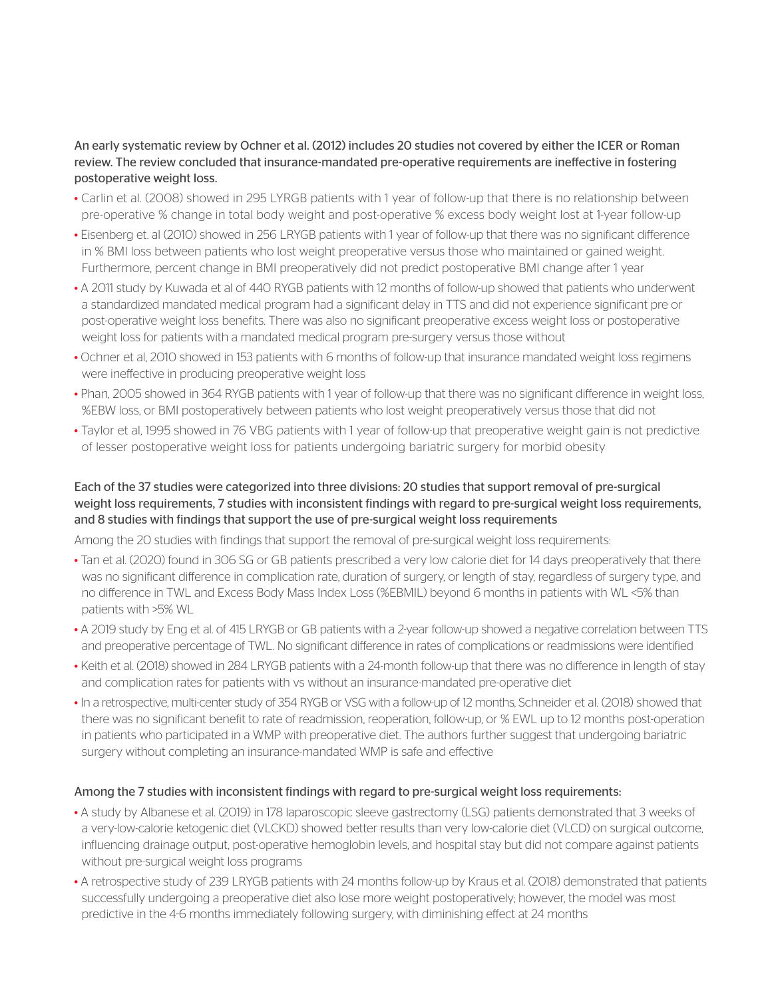#### An early systematic review by Ochner et al. (2012) includes 20 studies not covered by either the ICER or Roman review. The review concluded that insurance-mandated pre-operative requirements are ineffective in fostering postoperative weight loss.

- Carlin et al. (2008) showed in 295 LYRGB patients with 1 year of follow-up that there is no relationship between pre-operative % change in total body weight and post-operative % excess body weight lost at 1-year follow-up
- Eisenberg et. al (2010) showed in 256 LRYGB patients with 1 year of follow-up that there was no significant difference in % BMI loss between patients who lost weight preoperative versus those who maintained or gained weight. Furthermore, percent change in BMI preoperatively did not predict postoperative BMI change after 1 year
- A 2011 study by Kuwada et al of 440 RYGB patients with 12 months of follow-up showed that patients who underwent a standardized mandated medical program had a significant delay in TTS and did not experience significant pre or post-operative weight loss benefits. There was also no significant preoperative excess weight loss or postoperative weight loss for patients with a mandated medical program pre-surgery versus those without
- Ochner et al, 2010 showed in 153 patients with 6 months of follow-up that insurance mandated weight loss regimens were ineffective in producing preoperative weight loss
- Phan, 2005 showed in 364 RYGB patients with 1 year of follow-up that there was no significant difference in weight loss, %EBW loss, or BMI postoperatively between patients who lost weight preoperatively versus those that did not
- Taylor et al, 1995 showed in 76 VBG patients with 1 year of follow-up that preoperative weight gain is not predictive of lesser postoperative weight loss for patients undergoing bariatric surgery for morbid obesity

### Each of the 37 studies were categorized into three divisions: 20 studies that support removal of pre-surgical weight loss requirements, 7 studies with inconsistent findings with regard to pre-surgical weight loss requirements, and 8 studies with findings that support the use of pre-surgical weight loss requirements

Among the 20 studies with findings that support the removal of pre-surgical weight loss requirements:

- Tan et al. (2020) found in 306 SG or GB patients prescribed a very low calorie diet for 14 days preoperatively that there was no significant difference in complication rate, duration of surgery, or length of stay, regardless of surgery type, and no difference in TWL and Excess Body Mass Index Loss (%EBMIL) beyond 6 months in patients with WL <5% than patients with >5% WL
- A 2019 study by Eng et al. of 415 LRYGB or GB patients with a 2-year follow-up showed a negative correlation between TTS and preoperative percentage of TWL. No significant difference in rates of complications or readmissions were identified
- Keith et al. (2018) showed in 284 LRYGB patients with a 24-month follow-up that there was no difference in length of stay and complication rates for patients with vs without an insurance-mandated pre-operative diet
- In a retrospective, multi-center study of 354 RYGB or VSG with a follow-up of 12 months, Schneider et al. (2018) showed that there was no significant benefit to rate of readmission, reoperation, follow-up, or % EWL up to 12 months post-operation in patients who participated in a WMP with preoperative diet. The authors further suggest that undergoing bariatric surgery without completing an insurance-mandated WMP is safe and effective

#### Among the 7 studies with inconsistent findings with regard to pre-surgical weight loss requirements:

- A study by Albanese et al. (2019) in 178 laparoscopic sleeve gastrectomy (LSG) patients demonstrated that 3 weeks of a very-low-calorie ketogenic diet (VLCKD) showed better results than very low-calorie diet (VLCD) on surgical outcome, influencing drainage output, post-operative hemoglobin levels, and hospital stay but did not compare against patients without pre-surgical weight loss programs
- A retrospective study of 239 LRYGB patients with 24 months follow-up by Kraus et al. (2018) demonstrated that patients successfully undergoing a preoperative diet also lose more weight postoperatively; however, the model was most predictive in the 4-6 months immediately following surgery, with diminishing effect at 24 months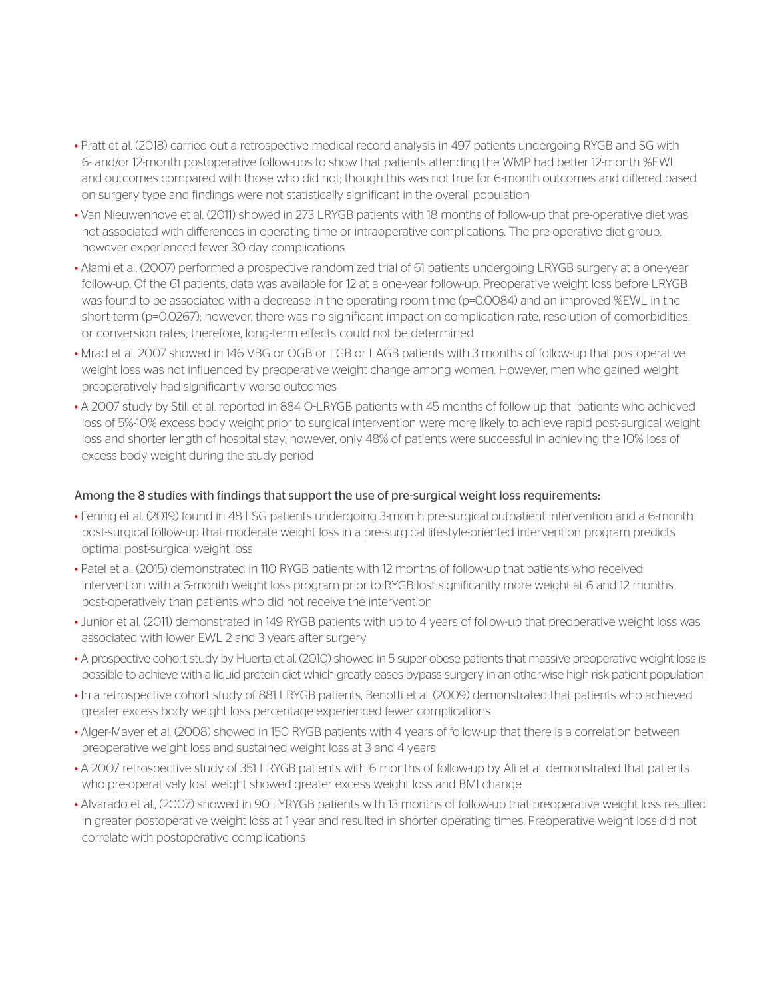- Pratt et al. (2018) carried out a retrospective medical record analysis in 497 patients undergoing RYGB and SG with 6- and/or 12-month postoperative follow-ups to show that patients attending the WMP had better 12-month %EWL and outcomes compared with those who did not; though this was not true for 6-month outcomes and differed based on surgery type and findings were not statistically significant in the overall population
- Van Nieuwenhove et al. (2011) showed in 273 LRYGB patients with 18 months of follow-up that pre-operative diet was not associated with differences in operating time or intraoperative complications. The pre-operative diet group, however experienced fewer 30-day complications
- Alami et al. (2007) performed a prospective randomized trial of 61 patients undergoing LRYGB surgery at a one-year follow-up. Of the 61 patients, data was available for 12 at a one-year follow-up. Preoperative weight loss before LRYGB was found to be associated with a decrease in the operating room time (p=0.0084) and an improved %EWL in the short term (p=0.0267); however, there was no significant impact on complication rate, resolution of comorbidities, or conversion rates; therefore, long-term effects could not be determined
- Mrad et al, 2007 showed in 146 VBG or OGB or LGB or LAGB patients with 3 months of follow-up that postoperative weight loss was not influenced by preoperative weight change among women. However, men who gained weight preoperatively had significantly worse outcomes
- A 2007 study by Still et al. reported in 884 O-LRYGB patients with 45 months of follow-up that patients who achieved loss of 5%-10% excess body weight prior to surgical intervention were more likely to achieve rapid post-surgical weight loss and shorter length of hospital stay; however, only 48% of patients were successful in achieving the 10% loss of excess body weight during the study period

#### Among the 8 studies with findings that support the use of pre-surgical weight loss requirements:

- Fennig et al. (2019) found in 48 LSG patients undergoing 3-month pre-surgical outpatient intervention and a 6-month post-surgical follow-up that moderate weight loss in a pre-surgical lifestyle-oriented intervention program predicts optimal post-surgical weight loss
- Patel et al. (2015) demonstrated in 110 RYGB patients with 12 months of follow-up that patients who received intervention with a 6-month weight loss program prior to RYGB lost significantly more weight at 6 and 12 months post-operatively than patients who did not receive the intervention
- Junior et al. (2011) demonstrated in 149 RYGB patients with up to 4 years of follow-up that preoperative weight loss was associated with lower EWL 2 and 3 years after surgery
- A prospective cohort study by Huerta et al. (2010) showed in 5 super obese patients that massive preoperative weight loss is possible to achieve with a liquid protein diet which greatly eases bypass surgery in an otherwise high-risk patient population
- In a retrospective cohort study of 881 LRYGB patients, Benotti et al. (2009) demonstrated that patients who achieved greater excess body weight loss percentage experienced fewer complications
- Alger-Mayer et al. (2008) showed in 150 RYGB patients with 4 years of follow-up that there is a correlation between preoperative weight loss and sustained weight loss at 3 and 4 years
- A 2007 retrospective study of 351 LRYGB patients with 6 months of follow-up by Ali et al. demonstrated that patients who pre-operatively lost weight showed greater excess weight loss and BMI change
- Alvarado et al., (2007) showed in 90 LYRYGB patients with 13 months of follow-up that preoperative weight loss resulted in greater postoperative weight loss at 1 year and resulted in shorter operating times. Preoperative weight loss did not correlate with postoperative complications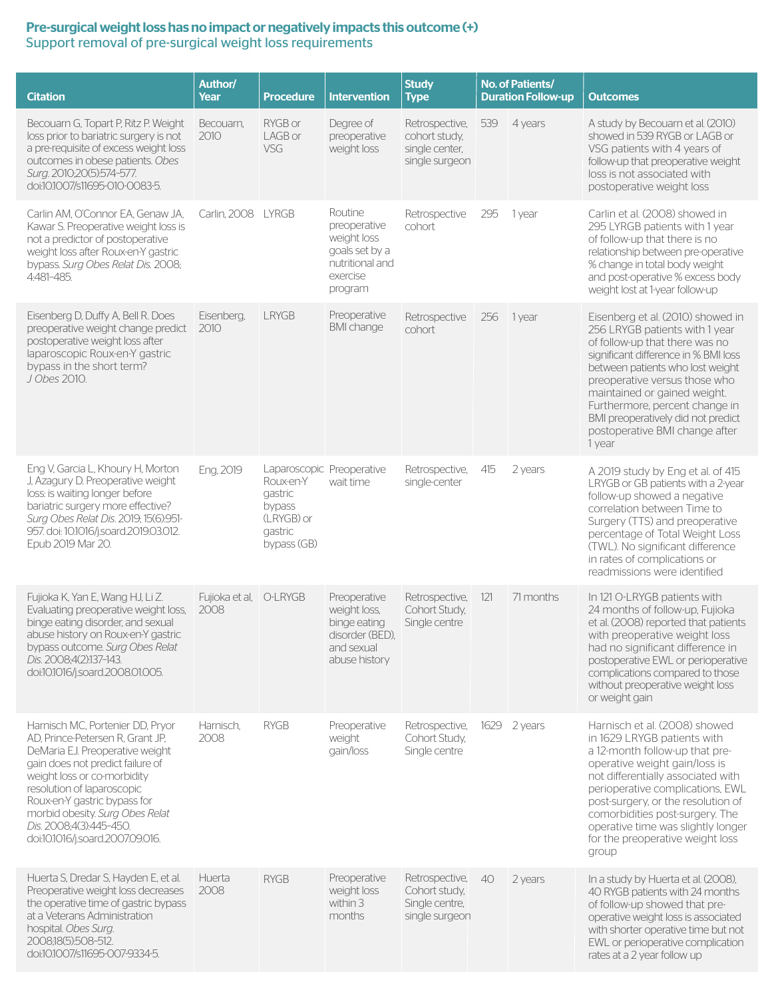#### Pre-surgical weight loss has no impact or negatively impacts this outcome (+) Support removal of pre-surgical weight loss requirements

| <b>Citation</b>                                                                                                                                                                                                                                                                                                                            | Author/<br>Year                | <b>Procedure</b>                                                                                    | <b>Intervention</b>                                                                                | <b>Study</b><br><b>Type</b>                                         | No. of Patients/<br><b>Duration Follow-up</b> |              | <b>Outcomes</b>                                                                                                                                                                                                                                                                                                                                                        |
|--------------------------------------------------------------------------------------------------------------------------------------------------------------------------------------------------------------------------------------------------------------------------------------------------------------------------------------------|--------------------------------|-----------------------------------------------------------------------------------------------------|----------------------------------------------------------------------------------------------------|---------------------------------------------------------------------|-----------------------------------------------|--------------|------------------------------------------------------------------------------------------------------------------------------------------------------------------------------------------------------------------------------------------------------------------------------------------------------------------------------------------------------------------------|
| Becouarn G, Topart P, Ritz P. Weight<br>loss prior to bariatric surgery is not<br>a pre-requisite of excess weight loss<br>outcomes in obese patients. Obes<br>Surg. 2010;20(5):574-577.<br>doi:10.1007/s11695-010-0083-5.                                                                                                                 | Becouarn,<br>2010              | RYGB or<br>LAGB or<br><b>VSG</b>                                                                    | Degree of<br>preoperative<br>weight loss                                                           | Retrospective,<br>cohort study,<br>single center,<br>single surgeon | 539                                           | 4 years      | A study by Becouarn et al. (2010)<br>showed in 539 RYGB or LAGB or<br>VSG patients with 4 years of<br>follow-up that preoperative weight<br>loss is not associated with<br>postoperative weight loss                                                                                                                                                                   |
| Carlin AM, O'Connor EA, Genaw JA,<br>Kawar S. Preoperative weight loss is<br>not a predictor of postoperative<br>weight loss after Roux-en-Y gastric<br>bypass. Surg Obes Relat Dis. 2008;<br>4:481-485.                                                                                                                                   | Carlin, 2008                   | <b>LYRGB</b>                                                                                        | Routine<br>preoperative<br>weight loss<br>goals set by a<br>nutritional and<br>exercise<br>program | Retrospective<br>cohort                                             | 295                                           | 1 year       | Carlin et al. (2008) showed in<br>295 LYRGB patients with 1 year<br>of follow-up that there is no<br>relationship between pre-operative<br>% change in total body weight<br>and post-operative % excess body<br>weight lost at 1-year follow-up                                                                                                                        |
| Eisenberg D, Duffy A, Bell R. Does<br>preoperative weight change predict<br>postoperative weight loss after<br>laparoscopic Roux-en-Y gastric<br>bypass in the short term?<br>J Obes 2010.                                                                                                                                                 | Eisenberg,<br>2010             | <b>LRYGB</b>                                                                                        | Preoperative<br><b>BMI</b> change                                                                  | Retrospective<br>cohort                                             | 256                                           | 1 year       | Eisenberg et al. (2010) showed in<br>256 LRYGB patients with 1 year<br>of follow-up that there was no<br>significant difference in % BMI loss<br>between patients who lost weight<br>preoperative versus those who<br>maintained or gained weight.<br>Furthermore, percent change in<br>BMI preoperatively did not predict<br>postoperative BMI change after<br>1 year |
| Eng V, Garcia L, Khoury H, Morton<br>J, Azagury D. Preoperative weight<br>loss: is waiting longer before<br>bariatric surgery more effective?<br>Surg Obes Relat Dis. 2019; 15(6):951-<br>957. doi: 10.1016/j.soard.2019.03.012.<br>Epub 2019 Mar 20.                                                                                      | Eng, 2019                      | Laparoscopic Preoperative<br>Roux-en-Y<br>gastric<br>bypass<br>(LRYGB) or<br>gastric<br>bypass (GB) | wait time                                                                                          | Retrospective,<br>single-center                                     | 415                                           | 2 years      | A 2019 study by Eng et al. of 415<br>LRYGB or GB patients with a 2-year<br>follow-up showed a negative<br>correlation between Time to<br>Surgery (TTS) and preoperative<br>percentage of Total Weight Loss<br>(TWL). No significant difference<br>in rates of complications or<br>readmissions were identified                                                         |
| Fujioka K, Yan E, Wang HJ, Li Z.<br>Evaluating preoperative weight loss,<br>binge eating disorder, and sexual<br>abuse history on Roux-en-Y gastric<br>bypass outcome. Surg Obes Relat<br>Dis. 2008:4(2):137-143.<br>doi:10.1016/j.soard.2008.01.005.                                                                                      | Fujioka et al, O-LRYGB<br>2008 |                                                                                                     | Preoperative<br>weight loss,<br>binge eating<br>disorder (BED),<br>and sexual<br>abuse history     | Retrospective,<br>Cohort Study,<br>Single centre                    | 121                                           | 71 months    | In 121 O-LRYGB patients with<br>24 months of follow-up, Fujioka<br>et al. (2008) reported that patients<br>with preoperative weight loss<br>had no significant difference in<br>postoperative EWL or perioperative<br>complications compared to those<br>without preoperative weight loss<br>or weight gain                                                            |
| Harnisch MC, Portenier DD, Pryor<br>AD, Prince-Petersen R, Grant JP,<br>DeMaria EJ. Preoperative weight<br>gain does not predict failure of<br>weight loss or co-morbidity<br>resolution of laparoscopic<br>Roux-en-Y gastric bypass for<br>morbid obesity. Surg Obes Relat<br>Dis. 2008;4(3):445-450.<br>doi:10.1016/j.soard.2007.09.016. | Harnisch,<br>2008              | <b>RYGB</b>                                                                                         | Preoperative<br>weight<br>gain/loss                                                                | Retrospective,<br>Cohort Study,<br>Single centre                    |                                               | 1629 2 years | Harnisch et al. (2008) showed<br>in 1629 LRYGB patients with<br>a 12-month follow-up that pre-<br>operative weight gain/loss is<br>not differentially associated with<br>perioperative complications, EWL<br>post-surgery, or the resolution of<br>comorbidities post-surgery. The<br>operative time was slightly longer<br>for the preoperative weight loss<br>group  |
| Huerta S, Dredar S, Hayden E, et al.<br>Preoperative weight loss decreases<br>the operative time of gastric bypass<br>at a Veterans Administration<br>hospital. Obes Surg.<br>2008;18(5):508-512.<br>doi:10.1007/s11695-007-9334-5.                                                                                                        | Huerta<br>2008                 | <b>RYGB</b>                                                                                         | Preoperative<br>weight loss<br>within 3<br>months                                                  | Retrospective,<br>Cohort study,<br>Single centre,<br>single surgeon | 40                                            | 2 years      | In a study by Huerta et al. (2008),<br>40 RYGB patients with 24 months<br>of follow-up showed that pre-<br>operative weight loss is associated<br>with shorter operative time but not<br>EWL or perioperative complication<br>rates at a 2 year follow up                                                                                                              |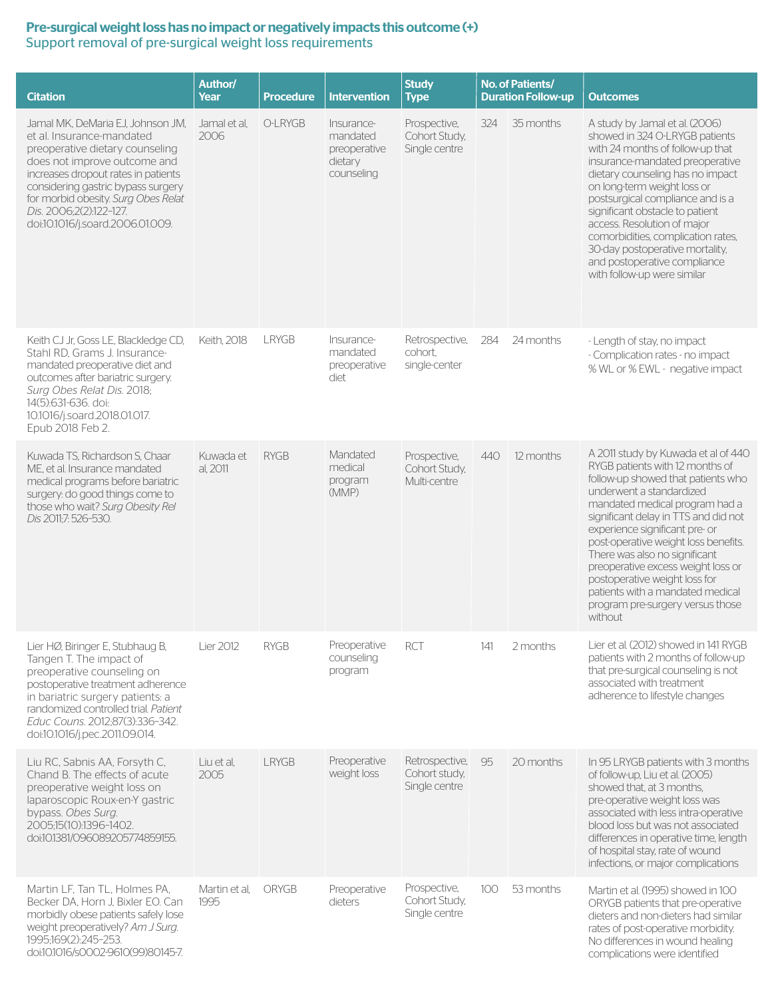#### Pre-surgical weight loss has no impact or negatively impacts this outcome (+) Support removal of pre-surgical weight loss requirements

| <b>Citation</b>                                                                                                                                                                                                                                                                                                      | Author/<br>Year       | <b>Procedure</b> | <b>Intervention</b>                                             | <b>Study</b><br><b>Type</b>                      | No. of Patients/<br><b>Duration Follow-up</b> |           | <b>Outcomes</b>                                                                                                                                                                                                                                                                                                                                                                                                                                                                         |
|----------------------------------------------------------------------------------------------------------------------------------------------------------------------------------------------------------------------------------------------------------------------------------------------------------------------|-----------------------|------------------|-----------------------------------------------------------------|--------------------------------------------------|-----------------------------------------------|-----------|-----------------------------------------------------------------------------------------------------------------------------------------------------------------------------------------------------------------------------------------------------------------------------------------------------------------------------------------------------------------------------------------------------------------------------------------------------------------------------------------|
| Jamal MK, DeMaria EJ, Johnson JM,<br>et al. Insurance-mandated<br>preoperative dietary counseling<br>does not improve outcome and<br>increases dropout rates in patients<br>considering gastric bypass surgery<br>for morbid obesity. Surg Obes Relat<br>Dis. 2006:2(2):122-127.<br>doi:10.1016/j.soard.2006.01.009. | Jamal et al.<br>2006  | O-LRYGB          | Insurance-<br>mandated<br>preoperative<br>dietary<br>counseling | Prospective,<br>Cohort Study,<br>Single centre   | 324                                           | 35 months | A study by Jamal et al. (2006)<br>showed in 324 O-LRYGB patients<br>with 24 months of follow-up that<br>insurance-mandated preoperative<br>dietary counseling has no impact<br>on long-term weight loss or<br>postsurgical compliance and is a<br>significant obstacle to patient<br>access. Resolution of major<br>comorbidities, complication rates,<br>30-day postoperative mortality,<br>and postoperative compliance<br>with follow-up were similar                                |
| Keith CJ Jr, Goss LE, Blackledge CD,<br>Stahl RD, Grams J. Insurance-<br>mandated preoperative diet and<br>outcomes after bariatric surgery.<br>Surg Obes Relat Dis. 2018;<br>14(5):631-636, doi:<br>10.1016/j.soard.2018.01.017.<br>Epub 2018 Feb 2.                                                                | Keith, 2018           | <b>LRYGB</b>     | Insurance-<br>mandated<br>preoperative<br>diet                  | Retrospective,<br>cohort.<br>single-center       | 284                                           | 24 months | - Length of stay, no impact<br>- Complication rates - no impact<br>% WL or % EWL - negative impact                                                                                                                                                                                                                                                                                                                                                                                      |
| Kuwada TS, Richardson S, Chaar<br>ME, et al. Insurance mandated<br>medical programs before bariatric<br>surgery: do good things come to<br>those who wait? Surg Obesity Rel<br>Dis 2011;7: 526-530.                                                                                                                  | Kuwada et<br>al. 2011 | <b>RYGB</b>      | Mandated<br>medical<br>program<br>(MMP)                         | Prospective,<br>Cohort Study,<br>Multi-centre    | 440                                           | 12 months | A 2011 study by Kuwada et al of 440<br>RYGB patients with 12 months of<br>follow-up showed that patients who<br>underwent a standardized<br>mandated medical program had a<br>significant delay in TTS and did not<br>experience significant pre- or<br>post-operative weight loss benefits.<br>There was also no significant<br>preoperative excess weight loss or<br>postoperative weight loss for<br>patients with a mandated medical<br>program pre-surgery versus those<br>without |
| Lier HØ, Biringer E, Stubhaug B,<br>Tangen T. The impact of<br>preoperative counseling on<br>postoperative treatment adherence<br>in bariatric surgery patients: a<br>randomized controlled trial. Patient<br>Educ Couns. 2012;87(3):336-342.<br>doi:10.1016/j.pec.2011.09.014.                                      | Lier 2012             | <b>RYGB</b>      | Preoperative<br>counseling<br>program                           | <b>RCT</b>                                       | 141                                           | 2 months  | Lier et al. (2012) showed in 141 RYGB<br>patients with 2 months of follow-up<br>that pre-surgical counseling is not<br>associated with treatment<br>adherence to lifestyle changes                                                                                                                                                                                                                                                                                                      |
| Liu RC, Sabnis AA, Forsyth C,<br>Chand B. The effects of acute<br>preoperative weight loss on<br>laparoscopic Roux-en-Y gastric<br>bypass. Obes Surg.<br>2005;15(10):1396-1402.<br>doi:10.1381/096089205774859155.                                                                                                   | Liu et al.<br>2005    | <b>LRYGB</b>     | Preoperative<br>weight loss                                     | Retrospective,<br>Cohort study,<br>Single centre | 95                                            | 20 months | In 95 LRYGB patients with 3 months<br>of follow-up, Liu et al. (2005)<br>showed that, at 3 months,<br>pre-operative weight loss was<br>associated with less intra-operative<br>blood loss but was not associated<br>differences in operative time, length<br>of hospital stay, rate of wound<br>infections, or major complications                                                                                                                                                      |
| Martin LF, Tan TL, Holmes PA,<br>Becker DA, Horn J, Bixler EO. Can<br>morbidly obese patients safely lose<br>weight preoperatively? Am J Surg.<br>1995;169(2):245-253.<br>doi:10.1016/s0002-9610(99)80145-7.                                                                                                         | Martin et al.<br>1995 | <b>ORYGB</b>     | Preoperative<br>dieters                                         | Prospective,<br>Cohort Study,<br>Single centre   | 100                                           | 53 months | Martin et al. (1995) showed in 100<br>ORYGB patients that pre-operative<br>dieters and non-dieters had similar<br>rates of post-operative morbidity.<br>No differences in wound healing<br>complications were identified                                                                                                                                                                                                                                                                |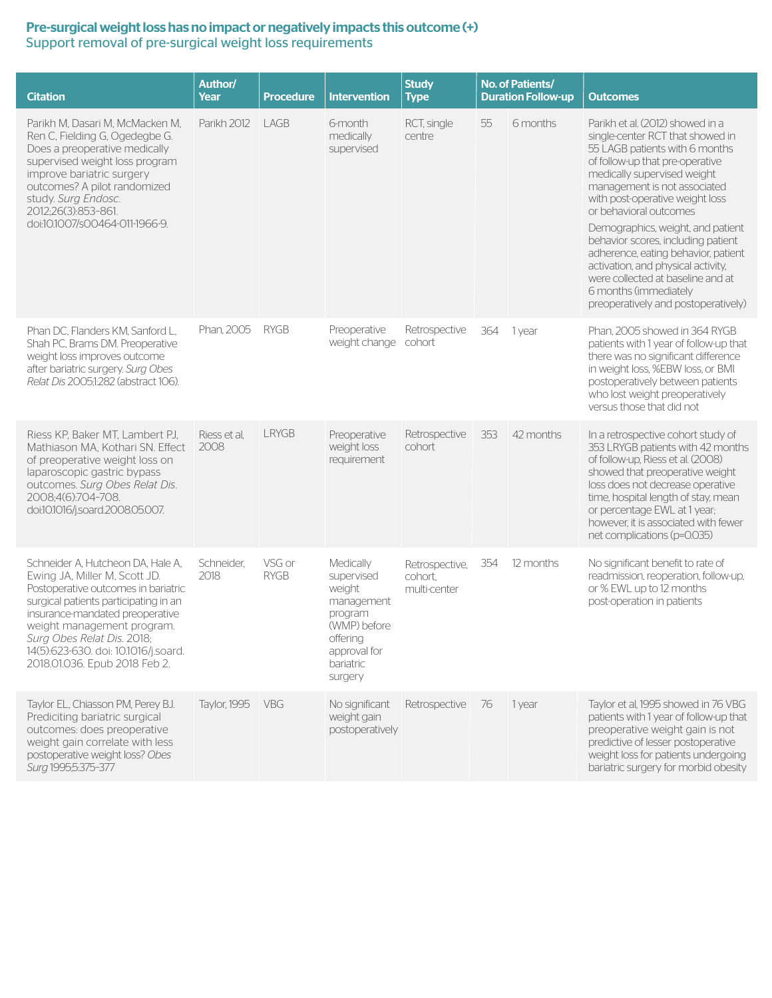#### Pre-surgical weight loss has no impact or negatively impacts this outcome (+) Support removal of pre-surgical weight loss requirements

| <b>Citation</b>                                                                                                                                                                                                                                                                                                            | Author/<br>Year      | <b>Procedure</b>      | <b>Intervention</b>                                                                                                            | <b>Study</b><br><b>Type</b>               |     | No. of Patients/<br><b>Duration Follow-up</b> | <b>Outcomes</b>                                                                                                                                                                                                                                                                                                                                                                                                                                                                                                                    |  |
|----------------------------------------------------------------------------------------------------------------------------------------------------------------------------------------------------------------------------------------------------------------------------------------------------------------------------|----------------------|-----------------------|--------------------------------------------------------------------------------------------------------------------------------|-------------------------------------------|-----|-----------------------------------------------|------------------------------------------------------------------------------------------------------------------------------------------------------------------------------------------------------------------------------------------------------------------------------------------------------------------------------------------------------------------------------------------------------------------------------------------------------------------------------------------------------------------------------------|--|
| Parikh M, Dasari M, McMacken M,<br>Ren C, Fielding G, Ogedegbe G.<br>Does a preoperative medically<br>supervised weight loss program<br>improve bariatric surgery<br>outcomes? A pilot randomized<br>study. Surg Endosc.<br>2012:26(3):853-861.<br>doi:10.1007/s00464-011-1966-9.                                          | Parikh 2012          | LAGB                  | 6-month<br>medically<br>supervised                                                                                             | RCT, single<br>centre                     | 55  | 6 months                                      | Parikh et al. (2012) showed in a<br>single-center RCT that showed in<br>55 LAGB patients with 6 months<br>of follow-up that pre-operative<br>medically supervised weight<br>management is not associated<br>with post-operative weight loss<br>or behavioral outcomes<br>Demographics, weight, and patient<br>behavior scores, including patient<br>adherence, eating behavior, patient<br>activation, and physical activity,<br>were collected at baseline and at<br>6 months (immediately<br>preoperatively and postoperatively) |  |
| Phan DC, Flanders KM, Sanford L,<br>Shah PC, Brams DM. Preoperative<br>weight loss improves outcome<br>after bariatric surgery. Surg Obes<br>Relat Dis 2005:1:282 (abstract 106).                                                                                                                                          | Phan, 2005           | <b>RYGB</b>           | Preoperative<br>weight change                                                                                                  | Retrospective<br>cohort                   | 364 | 1 year                                        | Phan, 2005 showed in 364 RYGB<br>patients with 1 year of follow-up that<br>there was no significant difference<br>in weight loss, %EBW loss, or BMI<br>postoperatively between patients<br>who lost weight preoperatively<br>versus those that did not                                                                                                                                                                                                                                                                             |  |
| Riess KP, Baker MT, Lambert PJ,<br>Mathiason MA, Kothari SN. Effect<br>of preoperative weight loss on<br>laparoscopic gastric bypass<br>outcomes. Surg Obes Relat Dis.<br>2008:4(6):704-708.<br>doi:10.1016/j.soard.2008.05.007.                                                                                           | Riess et al.<br>2008 | <b>LRYGB</b>          | Preoperative<br>weight loss<br>requirement                                                                                     | Retrospective<br>cohort                   | 353 | 42 months                                     | In a retrospective cohort study of<br>353 LRYGB patients with 42 months<br>of follow-up, Riess et al. (2008)<br>showed that preoperative weight<br>loss does not decrease operative<br>time, hospital length of stay, mean<br>or percentage EWL at 1 year;<br>however, it is associated with fewer<br>net complications (p=0.035)                                                                                                                                                                                                  |  |
| Schneider A. Hutcheon DA. Hale A.<br>Ewing JA, Miller M, Scott JD.<br>Postoperative outcomes in bariatric<br>surgical patients participating in an<br>insurance-mandated preoperative<br>weight management program.<br>Surg Obes Relat Dis. 2018;<br>14(5):623-630. doi: 10.1016/j.soard.<br>2018.01.036. Epub 2018 Feb 2. | Schneider,<br>2018   | VSG or<br><b>RYGB</b> | Medically<br>supervised<br>weight<br>management<br>program<br>(WMP) before<br>offering<br>approval for<br>bariatric<br>surgery | Retrospective,<br>cohort.<br>multi-center | 354 | 12 months                                     | No significant benefit to rate of<br>readmission, reoperation, follow-up,<br>or % EWL up to 12 months<br>post-operation in patients                                                                                                                                                                                                                                                                                                                                                                                                |  |
| Taylor EL, Chiasson PM, Perey BJ.<br>Prediciting bariatric surgical<br>outcomes: does preoperative<br>weight gain correlate with less<br>postoperative weight loss? Obes<br>Surg 1995;5:375-377                                                                                                                            | Taylor, 1995         | <b>VBG</b>            | No significant<br>weight gain<br>postoperatively                                                                               | Retrospective                             | 76  | 1 year                                        | Taylor et al, 1995 showed in 76 VBG<br>patients with 1 year of follow-up that<br>preoperative weight gain is not<br>predictive of lesser postoperative<br>weight loss for patients undergoing<br>bariatric surgery for morbid obesity                                                                                                                                                                                                                                                                                              |  |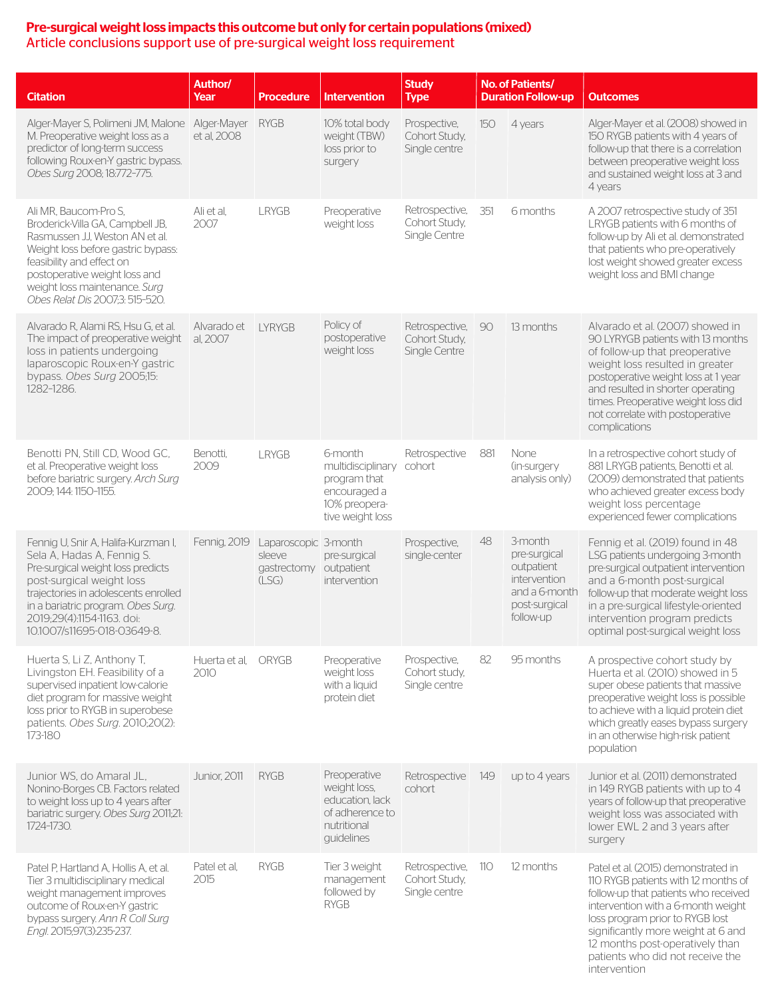#### Pre-surgical weight loss impacts this outcome but only for certain populations (mixed) Article conclusions support use of pre-surgical weight loss requirement

| <b>Citation</b>                                                                                                                                                                                                                                                                | <b>Author/</b><br>Year     | <b>Procedure</b>                                       | <b>Intervention</b>                                                                               | <b>Study</b><br><b>Type</b>                      |     | No. of Patients/<br><b>Duration Follow-up</b>                                                        | <b>Outcomes</b>                                                                                                                                                                                                                                                                                                          |
|--------------------------------------------------------------------------------------------------------------------------------------------------------------------------------------------------------------------------------------------------------------------------------|----------------------------|--------------------------------------------------------|---------------------------------------------------------------------------------------------------|--------------------------------------------------|-----|------------------------------------------------------------------------------------------------------|--------------------------------------------------------------------------------------------------------------------------------------------------------------------------------------------------------------------------------------------------------------------------------------------------------------------------|
| Alger-Mayer S, Polimeni JM, Malone<br>M. Preoperative weight loss as a<br>predictor of long-term success<br>following Roux-en-Y gastric bypass.<br>Obes Surg 2008; 18:772-775.                                                                                                 | Alger-Mayer<br>et al. 2008 | <b>RYGB</b>                                            | 10% total body<br>weight (TBW)<br>loss prior to<br>surgery                                        | Prospective,<br>Cohort Study,<br>Single centre   | 150 | 4 years                                                                                              | Alger-Mayer et al. (2008) showed in<br>150 RYGB patients with 4 years of<br>follow-up that there is a correlation<br>between preoperative weight loss<br>and sustained weight loss at 3 and<br>4 years                                                                                                                   |
| Ali MR. Baucom-Pro S.<br>Broderick-Villa GA, Campbell JB,<br>Rasmussen J.J. Weston AN et al.<br>Weight loss before gastric bypass:<br>feasibility and effect on<br>postoperative weight loss and<br>weight loss maintenance. Surg<br>Obes Relat Dis 2007;3: 515-520.           | Ali et al,<br>2007         | <b>LRYGB</b>                                           | Preoperative<br>weight loss                                                                       | Retrospective,<br>Cohort Study,<br>Single Centre | 351 | 6 months                                                                                             | A 2007 retrospective study of 351<br>LRYGB patients with 6 months of<br>follow-up by Ali et al. demonstrated<br>that patients who pre-operatively<br>lost weight showed greater excess<br>weight loss and BMI change                                                                                                     |
| Alvarado R, Alami RS, Hsu G, et al.<br>The impact of preoperative weight<br>loss in patients undergoing<br>laparoscopic Roux-en-Y gastric<br>bypass. Obes Surg 2005;15:<br>1282-1286.                                                                                          | Alvarado et<br>al, 2007    | <b>LYRYGB</b>                                          | Policy of<br>postoperative<br>weight loss                                                         | Retrospective,<br>Cohort Study,<br>Single Centre | 90  | 13 months                                                                                            | Alvarado et al. (2007) showed in<br>90 LYRYGB patients with 13 months<br>of follow-up that preoperative<br>weight loss resulted in greater<br>postoperative weight loss at 1 year<br>and resulted in shorter operating<br>times. Preoperative weight loss did<br>not correlate with postoperative<br>complications       |
| Benotti PN, Still CD, Wood GC,<br>et al. Preoperative weight loss<br>before bariatric surgery. Arch Surg<br>2009; 144: 1150-1155.                                                                                                                                              | Benotti,<br>2009           | <b>LRYGB</b>                                           | 6-month<br>multidisciplinary<br>program that<br>encouraged a<br>10% preopera-<br>tive weight loss | Retrospective<br>cohort                          | 881 | None<br>(in-surgery<br>analysis only)                                                                | In a retrospective cohort study of<br>881 LRYGB patients, Benotti et al.<br>(2009) demonstrated that patients<br>who achieved greater excess body<br>weight loss percentage<br>experienced fewer complications                                                                                                           |
| Fennig U, Snir A, Halifa-Kurzman I,<br>Sela A, Hadas A, Fennig S.<br>Pre-surgical weight loss predicts<br>post-surgical weight loss<br>trajectories in adolescents enrolled<br>in a bariatric program. Obes Surg.<br>2019;29(4):1154-1163. doi:<br>10.1007/s11695-018-03649-8. | Fennig, 2019               | Laparoscopic 3-month<br>sleeve<br>gastrectomy<br>(LSG) | pre-surgical<br>outpatient<br>intervention                                                        | Prospective,<br>single-center                    | 48  | 3-month<br>pre-surgical<br>outpatient<br>intervention<br>and a 6-month<br>post-surgical<br>follow-up | Fennig et al. (2019) found in 48<br>LSG patients undergoing 3-month<br>pre-surgical outpatient intervention<br>and a 6-month post-surgical<br>follow-up that moderate weight loss<br>in a pre-surgical lifestyle-oriented<br>intervention program predicts<br>optimal post-surgical weight loss                          |
| Huerta S, Li Z, Anthony T,<br>Livingston EH. Feasibility of a<br>supervised inpatient low-calorie<br>diet program for massive weight<br>loss prior to RYGB in superobese<br>patients. Obes Surg. 2010;20(2):<br>173-180                                                        | Huerta et al.<br>2010      | ORYGB                                                  | Preoperative<br>weight loss<br>with a liquid<br>protein diet                                      | Prospective,<br>Cohort study,<br>Single centre   | 82  | 95 months                                                                                            | A prospective cohort study by<br>Huerta et al. (2010) showed in 5<br>super obese patients that massive<br>preoperative weight loss is possible<br>to achieve with a liquid protein diet<br>which greatly eases bypass surgery<br>in an otherwise high-risk patient<br>population                                         |
| Junior WS, do Amaral JL.<br>Nonino-Borges CB. Factors related<br>to weight loss up to 4 years after<br>bariatric surgery. Obes Surg 2011;21:<br>1724-1730.                                                                                                                     | <b>Junior, 2011</b>        | <b>RYGB</b>                                            | Preoperative<br>weight loss,<br>education, lack<br>of adherence to<br>nutritional<br>guidelines   | Retrospective<br>cohort                          | 149 | up to 4 years                                                                                        | Junior et al. (2011) demonstrated<br>in 149 RYGB patients with up to 4<br>years of follow-up that preoperative<br>weight loss was associated with<br>lower EWL 2 and 3 years after<br>surgery                                                                                                                            |
| Patel P, Hartland A, Hollis A, et al.<br>Tier 3 multidisciplinary medical<br>weight management improves<br>outcome of Roux-en-Y gastric<br>bypass surgery. Ann R Coll Surg<br>Engl. 2015;97(3):235-237.                                                                        | Patel et al,<br>2015       | <b>RYGB</b>                                            | Tier 3 weight<br>management<br>followed by<br><b>RYGB</b>                                         | Retrospective,<br>Cohort Study,<br>Single centre | 110 | 12 months                                                                                            | Patel et al. (2015) demonstrated in<br>110 RYGB patients with 12 months of<br>follow-up that patients who received<br>intervention with a 6-month weight<br>loss program prior to RYGB lost<br>significantly more weight at 6 and<br>12 months post-operatively than<br>patients who did not receive the<br>intervention |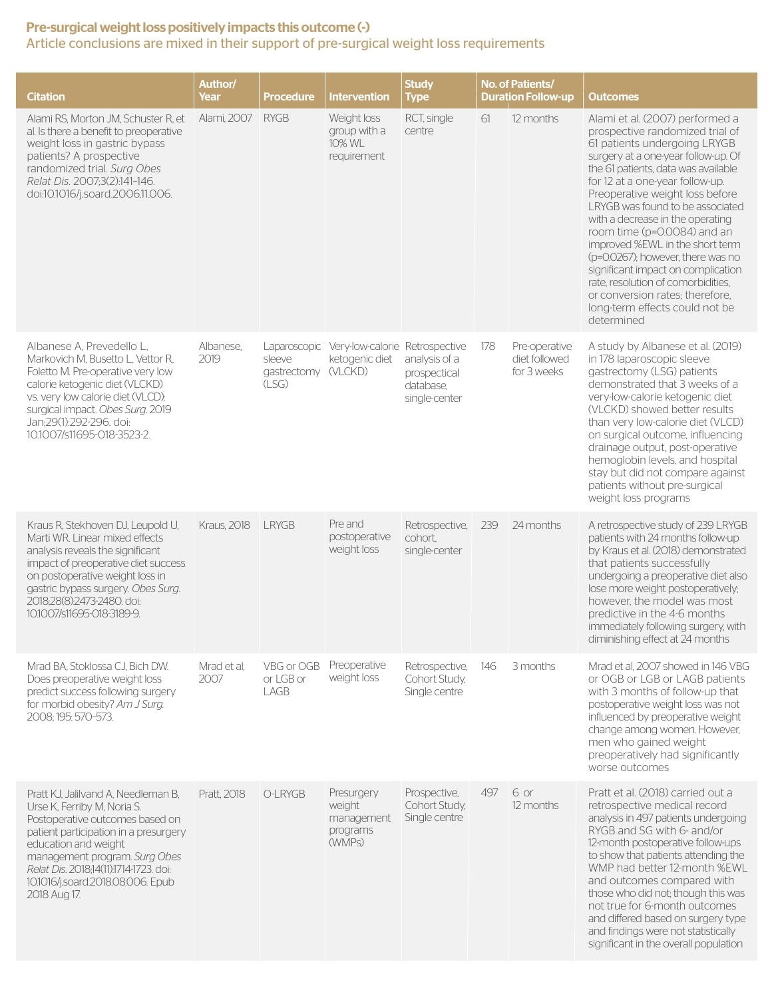#### Pre-surgical weight loss positively impacts this outcome (-) Article conclusions are mixed in their support of pre-surgical weight loss requirements

| <b>Citation</b>                                                                                                                                                                                                                                                                                        | Author/<br>Year     | <b>Procedure</b>                                       | <b>Intervention</b>                                      | <b>Study</b><br><b>Type</b>                                 |     | No. of Patients/<br><b>Duration Follow-up</b> | <b>Outcomes</b>                                                                                                                                                                                                                                                                                                                                                                                                                                                                                                                                                                                      |  |
|--------------------------------------------------------------------------------------------------------------------------------------------------------------------------------------------------------------------------------------------------------------------------------------------------------|---------------------|--------------------------------------------------------|----------------------------------------------------------|-------------------------------------------------------------|-----|-----------------------------------------------|------------------------------------------------------------------------------------------------------------------------------------------------------------------------------------------------------------------------------------------------------------------------------------------------------------------------------------------------------------------------------------------------------------------------------------------------------------------------------------------------------------------------------------------------------------------------------------------------------|--|
| Alami RS, Morton JM, Schuster R, et<br>al. Is there a benefit to preoperative<br>weight loss in gastric bypass<br>patients? A prospective<br>randomized trial. Surg Obes<br>Relat Dis. 2007:3(2):141-146.<br>doi:10.1016/j.soard.2006.11.006.                                                          | Alami, 2007         | <b>RYGB</b>                                            | Weight loss<br>group with a<br>10% WL<br>requirement     | RCT, single<br>centre                                       | 61  | 12 months                                     | Alami et al. (2007) performed a<br>prospective randomized trial of<br>61 patients undergoing LRYGB<br>surgery at a one-year follow-up. Of<br>the 61 patients, data was available<br>for 12 at a one-year follow-up.<br>Preoperative weight loss before<br>LRYGB was found to be associated<br>with a decrease in the operating<br>room time (p=0.0084) and an<br>improved %EWL in the short term<br>(p=0.0267); however, there was no<br>significant impact on complication<br>rate, resolution of comorbidities,<br>or conversion rates; therefore,<br>long-term effects could not be<br>determined |  |
| Albanese A, Prevedello L,<br>Markovich M, Busetto L, Vettor R,<br>Foletto M. Pre-operative very low<br>calorie ketogenic diet (VLCKD)<br>vs. very low calorie diet (VLCD):<br>surgical impact. Obes Surg. 2019<br>Jan;29(1):292-296. doi:<br>10.1007/s11695-018-3523-2.                                | Albanese,<br>2019   | Laparoscopic<br>sleeve<br>gastrectomy (VLCKD)<br>(LSG) | Very-low-calorie Retrospective<br>ketogenic diet         | analysis of a<br>prospectical<br>database.<br>single-center | 178 | Pre-operative<br>diet followed<br>for 3 weeks | A study by Albanese et al. (2019)<br>in 178 laparoscopic sleeve<br>gastrectomy (LSG) patients<br>demonstrated that 3 weeks of a<br>very-low-calorie ketogenic diet<br>(VLCKD) showed better results<br>than very low-calorie diet (VLCD)<br>on surgical outcome, influencing<br>drainage output, post-operative<br>hemoglobin levels, and hospital<br>stay but did not compare against<br>patients without pre-surgical<br>weight loss programs                                                                                                                                                      |  |
| Kraus R, Stekhoven DJ, Leupold U,<br>Marti WR. Linear mixed effects<br>analysis reveals the significant<br>impact of preoperative diet success<br>on postoperative weight loss in<br>gastric bypass surgery. Obes Surg.<br>2018;28(8):2473-2480. doi:<br>10.1007/s11695-018-3189-9.                    | <b>Kraus, 2018</b>  | <b>LRYGB</b>                                           | Pre and<br>postoperative<br>weight loss                  | Retrospective,<br>cohort,<br>single-center                  | 239 | 24 months                                     | A retrospective study of 239 LRYGB<br>patients with 24 months follow-up<br>by Kraus et al. (2018) demonstrated<br>that patients successfully<br>undergoing a preoperative diet also<br>lose more weight postoperatively;<br>however, the model was most<br>predictive in the 4-6 months<br>immediately following surgery, with<br>diminishing effect at 24 months                                                                                                                                                                                                                                    |  |
| Mrad BA, Stoklossa CJ, Bich DW.<br>Does preoperative weight loss<br>predict success following surgery<br>for morbid obesity? Am J Surg.<br>2008; 195: 570-573.                                                                                                                                         | Mrad et al,<br>2007 | VBG or OGB<br>or LGB or<br>LAGB                        | Preoperative<br>weight loss                              | Retrospective,<br>Cohort Study,<br>Single centre            | 146 | 3 months                                      | Mrad et al, 2007 showed in 146 VBG<br>or OGB or LGB or LAGB patients<br>with 3 months of follow-up that<br>postoperative weight loss was not<br>influenced by preoperative weight<br>change among women. However,<br>men who gained weight<br>preoperatively had significantly<br>worse outcomes                                                                                                                                                                                                                                                                                                     |  |
| Pratt KJ, Jalilvand A, Needleman B,<br>Urse K, Ferriby M, Noria S.<br>Postoperative outcomes based on<br>patient participation in a presurgery<br>education and weight<br>management program. Surg Obes<br>Relat Dis. 2018;14(11):1714-1723. doi:<br>10.1016/j.soard.2018.08.006. Epub<br>2018 Aug 17. | Pratt, 2018         | O-LRYGB                                                | Presurgery<br>weight<br>management<br>programs<br>(WMPs) | Prospective,<br>Cohort Study,<br>Single centre              | 497 | 6 or<br>12 months                             | Pratt et al. (2018) carried out a<br>retrospective medical record<br>analysis in 497 patients undergoing<br>RYGB and SG with 6- and/or<br>12-month postoperative follow-ups<br>to show that patients attending the<br>WMP had better 12-month %EWL<br>and outcomes compared with<br>those who did not; though this was<br>not true for 6-month outcomes<br>and differed based on surgery type<br>and findings were not statistically<br>significant in the overall population                                                                                                                        |  |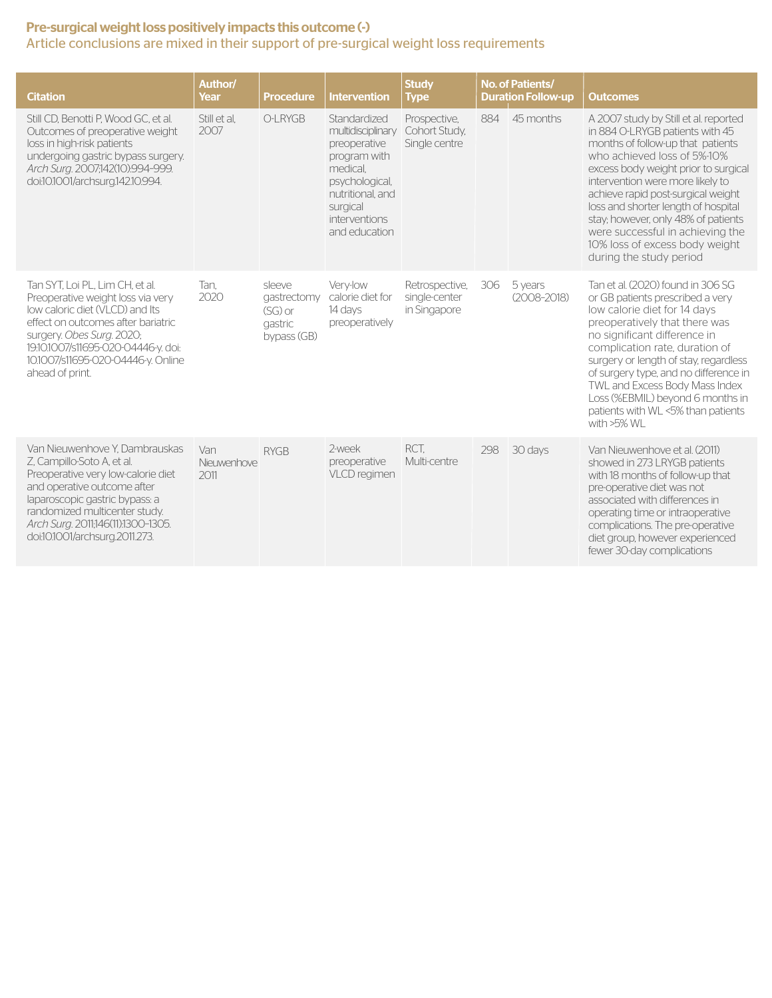#### Pre-surgical weight loss positively impacts this outcome (-) Article conclusions are mixed in their support of pre-surgical weight loss requirements

| <b>Citation</b>                                                                                                                                                                                                                                                              | Author/<br>Year            | <b>Procedure</b>                                             | <b>Intervention</b>                                                                                                                                               | <b>Study</b><br><b>Type</b>                     |     | No. of Patients/<br><b>Duration Follow-up</b> | <b>Outcomes</b>                                                                                                                                                                                                                                                                                                                                                                                                                               |
|------------------------------------------------------------------------------------------------------------------------------------------------------------------------------------------------------------------------------------------------------------------------------|----------------------------|--------------------------------------------------------------|-------------------------------------------------------------------------------------------------------------------------------------------------------------------|-------------------------------------------------|-----|-----------------------------------------------|-----------------------------------------------------------------------------------------------------------------------------------------------------------------------------------------------------------------------------------------------------------------------------------------------------------------------------------------------------------------------------------------------------------------------------------------------|
| Still CD. Benotti P. Wood GC. et al.<br>Outcomes of preoperative weight<br>loss in high-risk patients<br>undergoing gastric bypass surgery.<br>Arch Surg. 2007;142(10):994-999.<br>doi:10.1001/archsurg.142.10.994.                                                          | Still et al.<br>2007       | O-LRYGB                                                      | Standardized<br>multidisciplinary<br>preoperative<br>program with<br>medical.<br>psychological,<br>nutritional, and<br>surgical<br>interventions<br>and education | Prospective,<br>Cohort Study,<br>Single centre  | 884 | 45 months                                     | A 2007 study by Still et al. reported<br>in 884 O-LRYGB patients with 45<br>months of follow-up that patients<br>who achieved loss of 5%-10%<br>excess body weight prior to surgical<br>intervention were more likely to<br>achieve rapid post-surgical weight<br>loss and shorter length of hospital<br>stay; however, only 48% of patients<br>were successful in achieving the<br>10% loss of excess body weight<br>during the study period |
| Tan SYT. Loi PL. Lim CH. et al.<br>Preoperative weight loss via very<br>low caloric diet (VLCD) and Its<br>effect on outcomes after bariatric<br>surgery. Obes Surg. 2020;<br>19:10.1007/s11695-020-04446-y. doi:<br>10.1007/s11695-020-04446-y. Online<br>ahead of print.   | Tan.<br>2020               | sleeve<br>gastrectomy<br>$(SG)$ or<br>aastric<br>bypass (GB) | Verv-low<br>calorie diet for<br>14 days<br>preoperatively                                                                                                         | Retrospective,<br>single-center<br>in Singapore | 306 | 5 years<br>$(2008 - 2018)$                    | Tan et al. (2020) found in 306 SG<br>or GB patients prescribed a very<br>low calorie diet for 14 days<br>preoperatively that there was<br>no significant difference in<br>complication rate, duration of<br>surgery or length of stay, regardless<br>of surgery type, and no difference in<br>TWL and Excess Body Mass Index<br>Loss (%EBMIL) beyond 6 months in<br>patients with WL <5% than patients<br>with >5% WL                         |
| Van Nieuwenhove Y. Dambrauskas<br>Z, Campillo-Soto A, et al.<br>Preoperative very low-calorie diet<br>and operative outcome after<br>laparoscopic gastric bypass: a<br>randomized multicenter study.<br>Arch Surg. 2011;146(11):1300-1305.<br>doi:10.1001/archsurg.2011.273. | Van<br>Nieuwenhove<br>2011 | <b>RYGB</b>                                                  | 2-week<br>preoperative<br>VLCD regimen                                                                                                                            | RCT.<br>Multi-centre                            | 298 | 30 days                                       | Van Nieuwenhove et al. (2011)<br>showed in 273 LRYGB patients<br>with 18 months of follow-up that<br>pre-operative diet was not<br>associated with differences in<br>operating time or intraoperative<br>complications. The pre-operative<br>diet group, however experienced<br>fewer 30-day complications                                                                                                                                    |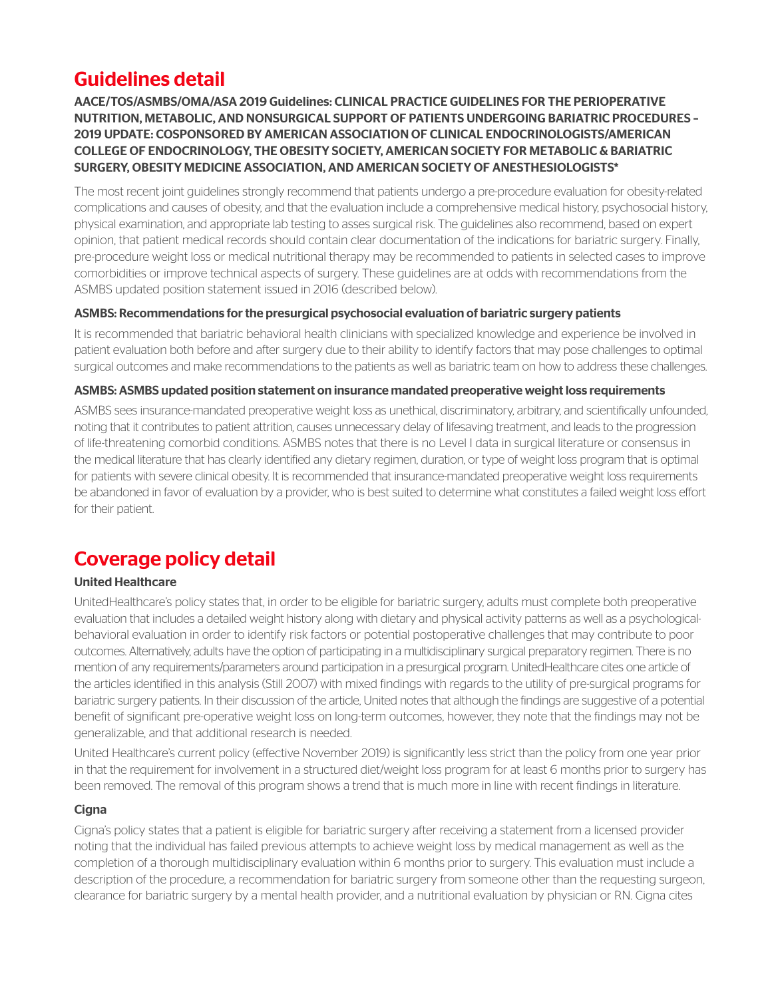## Guidelines detail

AACE/TOS/ASMBS/OMA/ASA 2019 Guidelines: CLINICAL PRACTICE GUIDELINES FOR THE PERIOPERATIVE NUTRITION, METABOLIC, AND NONSURGICAL SUPPORT OF PATIENTS UNDERGOING BARIATRIC PROCEDURES – 2019 UPDATE: COSPONSORED BY AMERICAN ASSOCIATION OF CLINICAL ENDOCRINOLOGISTS/AMERICAN COLLEGE OF ENDOCRINOLOGY, THE OBESITY SOCIETY, AMERICAN SOCIETY FOR METABOLIC & BARIATRIC SURGERY, OBESITY MEDICINE ASSOCIATION, AND AMERICAN SOCIETY OF ANESTHESIOLOGISTS\*

The most recent joint guidelines strongly recommend that patients undergo a pre-procedure evaluation for obesity-related complications and causes of obesity, and that the evaluation include a comprehensive medical history, psychosocial history, physical examination, and appropriate lab testing to asses surgical risk. The guidelines also recommend, based on expert opinion, that patient medical records should contain clear documentation of the indications for bariatric surgery. Finally, pre-procedure weight loss or medical nutritional therapy may be recommended to patients in selected cases to improve comorbidities or improve technical aspects of surgery. These guidelines are at odds with recommendations from the ASMBS updated position statement issued in 2016 (described below).

#### ASMBS: Recommendations for the presurgical psychosocial evaluation of bariatric surgery patients

It is recommended that bariatric behavioral health clinicians with specialized knowledge and experience be involved in patient evaluation both before and after surgery due to their ability to identify factors that may pose challenges to optimal surgical outcomes and make recommendations to the patients as well as bariatric team on how to address these challenges.

#### ASMBS: ASMBS updated position statement on insurance mandated preoperative weight loss requirements

ASMBS sees insurance-mandated preoperative weight loss as unethical, discriminatory, arbitrary, and scientifically unfounded, noting that it contributes to patient attrition, causes unnecessary delay of lifesaving treatment, and leads to the progression of life-threatening comorbid conditions. ASMBS notes that there is no Level I data in surgical literature or consensus in the medical literature that has clearly identified any dietary regimen, duration, or type of weight loss program that is optimal for patients with severe clinical obesity. It is recommended that insurance-mandated preoperative weight loss requirements be abandoned in favor of evaluation by a provider, who is best suited to determine what constitutes a failed weight loss effort for their patient.

## Coverage policy detail

### United Healthcare

UnitedHealthcare's policy states that, in order to be eligible for bariatric surgery, adults must complete both preoperative evaluation that includes a detailed weight history along with dietary and physical activity patterns as well as a psychologicalbehavioral evaluation in order to identify risk factors or potential postoperative challenges that may contribute to poor outcomes. Alternatively, adults have the option of participating in a multidisciplinary surgical preparatory regimen. There is no mention of any requirements/parameters around participation in a presurgical program. UnitedHealthcare cites one article of the articles identified in this analysis (Still 2007) with mixed findings with regards to the utility of pre-surgical programs for bariatric surgery patients. In their discussion of the article, United notes that although the findings are suggestive of a potential benefit of significant pre-operative weight loss on long-term outcomes, however, they note that the findings may not be generalizable, and that additional research is needed.

United Healthcare's current policy (effective November 2019) is significantly less strict than the policy from one year prior in that the requirement for involvement in a structured diet/weight loss program for at least 6 months prior to surgery has been removed. The removal of this program shows a trend that is much more in line with recent findings in literature.

### **Cigna**

Cigna's policy states that a patient is eligible for bariatric surgery after receiving a statement from a licensed provider noting that the individual has failed previous attempts to achieve weight loss by medical management as well as the completion of a thorough multidisciplinary evaluation within 6 months prior to surgery. This evaluation must include a description of the procedure, a recommendation for bariatric surgery from someone other than the requesting surgeon, clearance for bariatric surgery by a mental health provider, and a nutritional evaluation by physician or RN. Cigna cites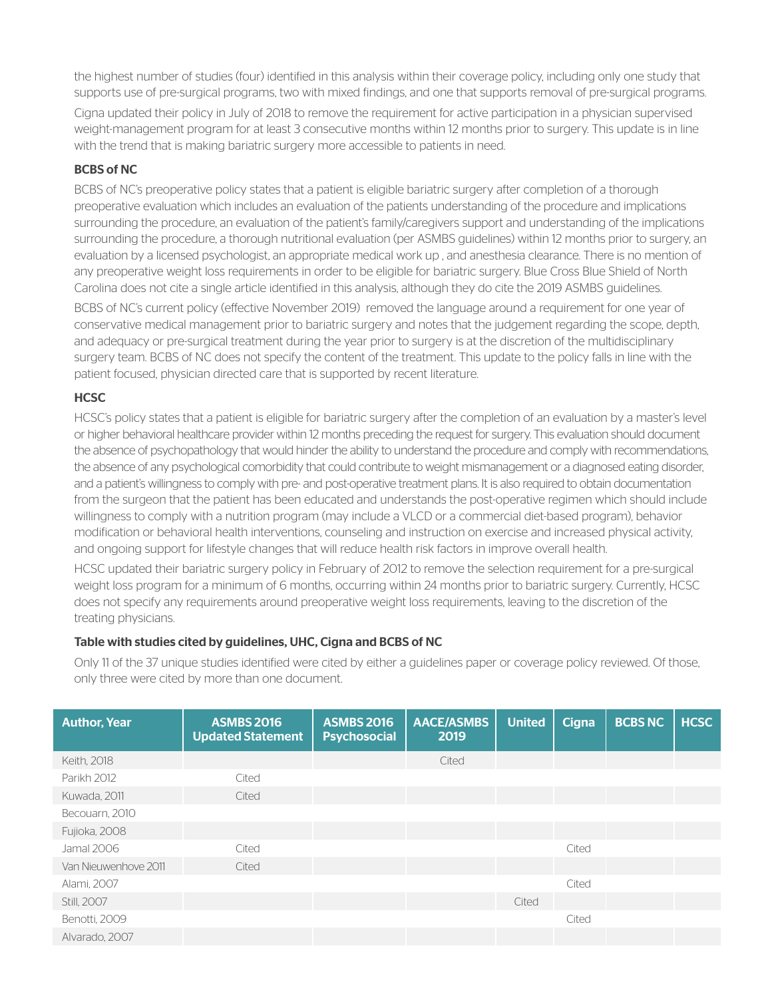the highest number of studies (four) identified in this analysis within their coverage policy, including only one study that supports use of pre-surgical programs, two with mixed findings, and one that supports removal of pre-surgical programs.

Cigna updated their policy in July of 2018 to remove the requirement for active participation in a physician supervised weight-management program for at least 3 consecutive months within 12 months prior to surgery. This update is in line with the trend that is making bariatric surgery more accessible to patients in need.

### BCBS of NC

BCBS of NC's preoperative policy states that a patient is eligible bariatric surgery after completion of a thorough preoperative evaluation which includes an evaluation of the patients understanding of the procedure and implications surrounding the procedure, an evaluation of the patient's family/caregivers support and understanding of the implications surrounding the procedure, a thorough nutritional evaluation (per ASMBS guidelines) within 12 months prior to surgery, an evaluation by a licensed psychologist, an appropriate medical work up , and anesthesia clearance. There is no mention of any preoperative weight loss requirements in order to be eligible for bariatric surgery. Blue Cross Blue Shield of North Carolina does not cite a single article identified in this analysis, although they do cite the 2019 ASMBS guidelines.

BCBS of NC's current policy (effective November 2019) removed the language around a requirement for one year of conservative medical management prior to bariatric surgery and notes that the judgement regarding the scope, depth, and adequacy or pre-surgical treatment during the year prior to surgery is at the discretion of the multidisciplinary surgery team. BCBS of NC does not specify the content of the treatment. This update to the policy falls in line with the patient focused, physician directed care that is supported by recent literature.

### **HCSC**

HCSC's policy states that a patient is eligible for bariatric surgery after the completion of an evaluation by a master's level or higher behavioral healthcare provider within 12 months preceding the request for surgery. This evaluation should document the absence of psychopathology that would hinder the ability to understand the procedure and comply with recommendations, the absence of any psychological comorbidity that could contribute to weight mismanagement or a diagnosed eating disorder, and a patient's willingness to comply with pre- and post-operative treatment plans. It is also required to obtain documentation from the surgeon that the patient has been educated and understands the post-operative regimen which should include willingness to comply with a nutrition program (may include a VLCD or a commercial diet-based program), behavior modification or behavioral health interventions, counseling and instruction on exercise and increased physical activity, and ongoing support for lifestyle changes that will reduce health risk factors in improve overall health.

HCSC updated their bariatric surgery policy in February of 2012 to remove the selection requirement for a pre-surgical weight loss program for a minimum of 6 months, occurring within 24 months prior to bariatric surgery. Currently, HCSC does not specify any requirements around preoperative weight loss requirements, leaving to the discretion of the treating physicians.

#### Table with studies cited by guidelines, UHC, Cigna and BCBS of NC

Only 11 of the 37 unique studies identified were cited by either a guidelines paper or coverage policy reviewed. Of those, only three were cited by more than one document.

| <b>Author, Year</b>  | <b>ASMBS 2016</b><br><b>Updated Statement</b> | <b>ASMBS 2016</b><br><b>Psychosocial</b> | <b>AACE/ASMBS</b><br>2019 | <b>United</b> | <b>Cigna</b> | <b>BCBS NC</b> | <b>HCSC</b> |
|----------------------|-----------------------------------------------|------------------------------------------|---------------------------|---------------|--------------|----------------|-------------|
| Keith, 2018          |                                               |                                          | Cited                     |               |              |                |             |
| Parikh 2012          | Cited                                         |                                          |                           |               |              |                |             |
| Kuwada, 2011         | Cited                                         |                                          |                           |               |              |                |             |
| Becouarn, 2010       |                                               |                                          |                           |               |              |                |             |
| Fujioka, 2008        |                                               |                                          |                           |               |              |                |             |
| Jamal 2006           | Cited                                         |                                          |                           |               | Cited        |                |             |
| Van Nieuwenhove 2011 | Cited                                         |                                          |                           |               |              |                |             |
| Alami, 2007          |                                               |                                          |                           |               | Cited        |                |             |
| Still, 2007          |                                               |                                          |                           | Cited         |              |                |             |
| Benotti, 2009        |                                               |                                          |                           |               | Cited        |                |             |
| Alvarado, 2007       |                                               |                                          |                           |               |              |                |             |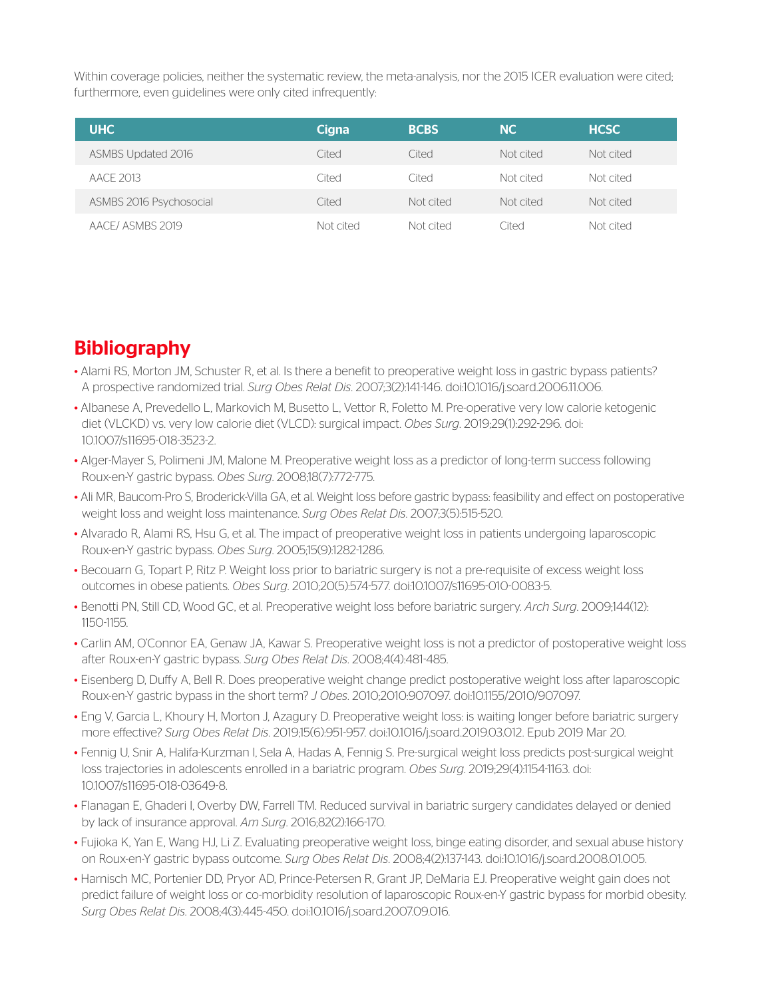Within coverage policies, neither the systematic review, the meta-analysis, nor the 2015 ICER evaluation were cited; furthermore, even guidelines were only cited infrequently:

| <b>UHC</b>              | Cigna     | <b>BCBS</b> | <b>NC</b> | <b>HCSC</b> |
|-------------------------|-----------|-------------|-----------|-------------|
| ASMBS Updated 2016      | Cited     | Cited       | Not cited | Not cited   |
| AACE 2013               | Cited     | Cited       | Not cited | Not cited   |
| ASMBS 2016 Psychosocial | Cited     | Not cited   | Not cited | Not cited   |
| AACE/ASMBS 2019         | Not cited | Not cited   | Cited     | Not cited   |

## **Bibliography**

- Alami RS, Morton JM, Schuster R, et al. Is there a benefit to preoperative weight loss in gastric bypass patients? A prospective randomized trial. *Surg Obes Relat Dis*. 2007;3(2):141-146. doi:10.1016/j.soard.2006.11.006.
- Albanese A, Prevedello L, Markovich M, Busetto L, Vettor R, Foletto M. Pre-operative very low calorie ketogenic diet (VLCKD) vs. very low calorie diet (VLCD): surgical impact. *Obes Surg*. 2019;29(1):292-296. doi: 10.1007/s11695-018-3523-2.
- Alger-Mayer S, Polimeni JM, Malone M. Preoperative weight loss as a predictor of long-term success following Roux-en-Y gastric bypass. *Obes Surg*. 2008;18(7):772-775.
- Ali MR, Baucom-Pro S, Broderick-Villa GA, et al. Weight loss before gastric bypass: feasibility and effect on postoperative weight loss and weight loss maintenance. *Surg Obes Relat Dis*. 2007;3(5):515-520.
- Alvarado R, Alami RS, Hsu G, et al. The impact of preoperative weight loss in patients undergoing laparoscopic Roux-en-Y gastric bypass. *Obes Surg*. 2005;15(9):1282-1286.
- Becouarn G, Topart P, Ritz P. Weight loss prior to bariatric surgery is not a pre-requisite of excess weight loss outcomes in obese patients. *Obes Surg*. 2010;20(5):574-577. doi:10.1007/s11695-010-0083-5.
- Benotti PN, Still CD, Wood GC, et al. Preoperative weight loss before bariatric surgery. *Arch Surg*. 2009;144(12): 1150-1155.
- Carlin AM, O'Connor EA, Genaw JA, Kawar S. Preoperative weight loss is not a predictor of postoperative weight loss after Roux-en-Y gastric bypass. *Surg Obes Relat Dis*. 2008;4(4):481-485.
- Eisenberg D, Duffy A, Bell R. Does preoperative weight change predict postoperative weight loss after laparoscopic Roux-en-Y gastric bypass in the short term? *J Obes*. 2010;2010:907097. doi:10.1155/2010/907097.
- Eng V, Garcia L, Khoury H, Morton J, Azagury D. Preoperative weight loss: is waiting longer before bariatric surgery more effective? *Surg Obes Relat Dis.* 2019;15(6):951-957. doi:10.1016/j.soard.2019.03.012. Epub 2019 Mar 20.
- Fennig U, Snir A, Halifa-Kurzman I, Sela A, Hadas A, Fennig S. Pre-surgical weight loss predicts post-surgical weight loss trajectories in adolescents enrolled in a bariatric program. *Obes Surg*. 2019;29(4):1154-1163. doi: 10.1007/s11695-018-03649-8.
- Flanagan E, Ghaderi I, Overby DW, Farrell TM. Reduced survival in bariatric surgery candidates delayed or denied by lack of insurance approval. *Am Surg*. 2016;82(2):166-170.
- Fujioka K, Yan E, Wang HJ, Li Z. Evaluating preoperative weight loss, binge eating disorder, and sexual abuse history on Roux-en-Y gastric bypass outcome. *Surg Obes Relat Dis*. 2008;4(2):137-143. doi:10.1016/j.soard.2008.01.005.
- Harnisch MC, Portenier DD, Pryor AD, Prince-Petersen R, Grant JP, DeMaria EJ. Preoperative weight gain does not predict failure of weight loss or co-morbidity resolution of laparoscopic Roux-en-Y gastric bypass for morbid obesity. *Surg Obes Relat Dis*. 2008;4(3):445-450. doi:10.1016/j.soard.2007.09.016.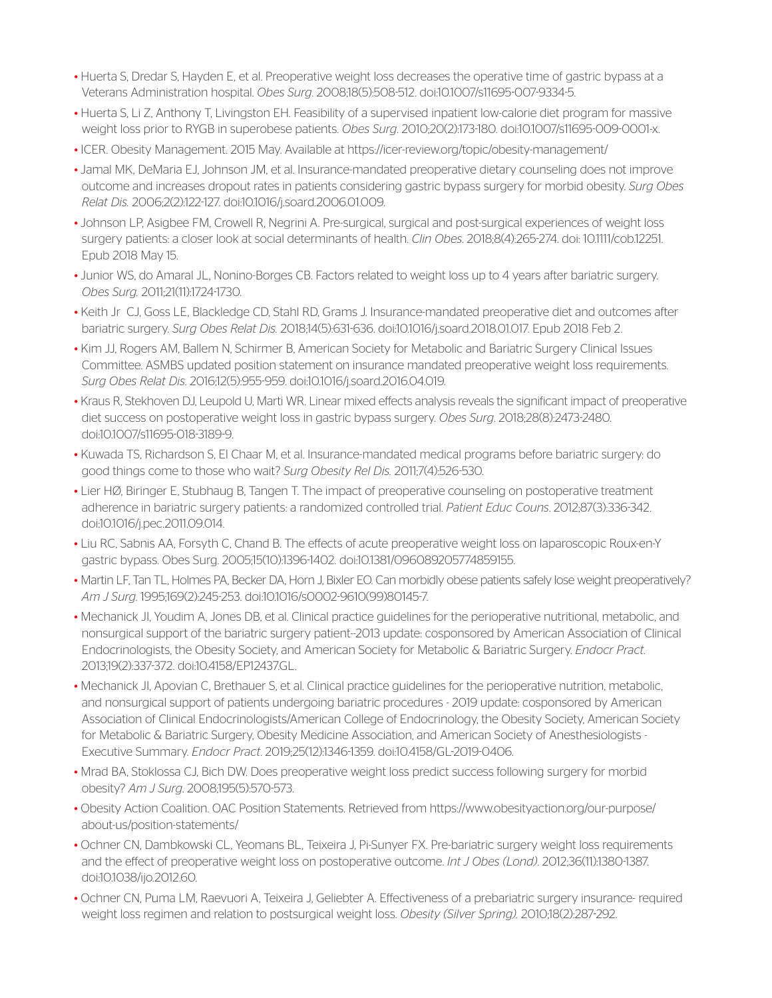- Huerta S, Dredar S, Hayden E, et al. Preoperative weight loss decreases the operative time of gastric bypass at a Veterans Administration hospital. *Obes Surg*. 2008;18(5):508-512. doi:10.1007/s11695-007-9334-5.
- Huerta S, Li Z, Anthony T, Livingston EH. Feasibility of a supervised inpatient low-calorie diet program for massive weight loss prior to RYGB in superobese patients. *Obes Surg*. 2010;20(2):173-180. doi:10.1007/s11695-009-0001-x.
- ICER. Obesity Management. 2015 May. Available at https://icer-review.org/topic/obesity-management/
- Jamal MK, DeMaria EJ, Johnson JM, et al. Insurance-mandated preoperative dietary counseling does not improve outcome and increases dropout rates in patients considering gastric bypass surgery for morbid obesity. *Surg Obes Relat Dis.* 2006;2(2):122-127. doi:10.1016/j.soard.2006.01.009.
- Johnson LP, Asigbee FM, Crowell R, Negrini A. Pre-surgical, surgical and post-surgical experiences of weight loss surgery patients: a closer look at social determinants of health. *Clin Obes*. 2018;8(4):265-274. doi: 10.1111/cob.12251. Epub 2018 May 15.
- Junior WS, do Amaral JL, Nonino-Borges CB. Factors related to weight loss up to 4 years after bariatric surgery. *Obes Surg.* 2011;21(11):1724-1730.
- Keith Jr CJ, Goss LE, Blackledge CD, Stahl RD, Grams J. Insurance-mandated preoperative diet and outcomes after bariatric surgery. *Surg Obes Relat Dis.* 2018;14(5):631-636. doi:10.1016/j.soard.2018.01.017. Epub 2018 Feb 2.
- Kim JJ, Rogers AM, Ballem N, Schirmer B, American Society for Metabolic and Bariatric Surgery Clinical Issues Committee. ASMBS updated position statement on insurance mandated preoperative weight loss requirements. *Surg Obes Relat Dis*. 2016;12(5):955-959. doi:10.1016/j.soard.2016.04.019.
- Kraus R, Stekhoven DJ, Leupold U, Marti WR. Linear mixed effects analysis reveals the significant impact of preoperative diet success on postoperative weight loss in gastric bypass surgery. *Obes Surg*. 2018;28(8):2473-2480. doi:10.1007/s11695-018-3189-9.
- Kuwada TS, Richardson S, El Chaar M, et al. Insurance-mandated medical programs before bariatric surgery: do good things come to those who wait? *Surg Obesity Rel Dis.* 2011;7(4):526-530.
- Lier HØ, Biringer E, Stubhaug B, Tangen T. The impact of preoperative counseling on postoperative treatment adherence in bariatric surgery patients: a randomized controlled trial. *Patient Educ Couns*. 2012;87(3):336-342. doi:10.1016/j.pec.2011.09.014.
- Liu RC, Sabnis AA, Forsyth C, Chand B. The effects of acute preoperative weight loss on laparoscopic Roux-en-Y gastric bypass. Obes Surg. 2005;15(10):1396-1402. doi:10.1381/096089205774859155.
- Martin LF, Tan TL, Holmes PA, Becker DA, Horn J, Bixler EO. Can morbidly obese patients safely lose weight preoperatively? *Am J Surg*. 1995;169(2):245-253. doi:10.1016/s0002-9610(99)80145-7.
- Mechanick JI, Youdim A, Jones DB, et al. Clinical practice guidelines for the perioperative nutritional, metabolic, and nonsurgical support of the bariatric surgery patient--2013 update: cosponsored by American Association of Clinical Endocrinologists, the Obesity Society, and American Society for Metabolic & Bariatric Surgery. *Endocr Pract.* 2013;19(2):337-372. doi:10.4158/EP12437.GL.
- Mechanick JI, Apovian C, Brethauer S, et al. Clinical practice guidelines for the perioperative nutrition, metabolic, and nonsurgical support of patients undergoing bariatric procedures - 2019 update: cosponsored by American Association of Clinical Endocrinologists/American College of Endocrinology, the Obesity Society, American Society for Metabolic & Bariatric Surgery, Obesity Medicine Association, and American Society of Anesthesiologists - Executive Summary. *Endocr Pract*. 2019;25(12):1346-1359. doi:10.4158/GL-2019-0406.
- Mrad BA, Stoklossa CJ, Bich DW. Does preoperative weight loss predict success following surgery for morbid obesity? *Am J Surg*. 2008;195(5):570-573.
- Obesity Action Coalition. OAC Position Statements. Retrieved from https://www.obesityaction.org/our-purpose/ about-us/position-statements/
- Ochner CN, Dambkowski CL, Yeomans BL, Teixeira J, Pi-Sunyer FX. Pre-bariatric surgery weight loss requirements and the effect of preoperative weight loss on postoperative outcome. *Int J Obes (Lond)*. 2012;36(11):1380-1387. doi:10.1038/ijo.2012.60.
- Ochner CN, Puma LM, Raevuori A, Teixeira J, Geliebter A. Effectiveness of a prebariatric surgery insurance- required weight loss regimen and relation to postsurgical weight loss. *Obesity (Silver Spring).* 2010;18(2):287-292.